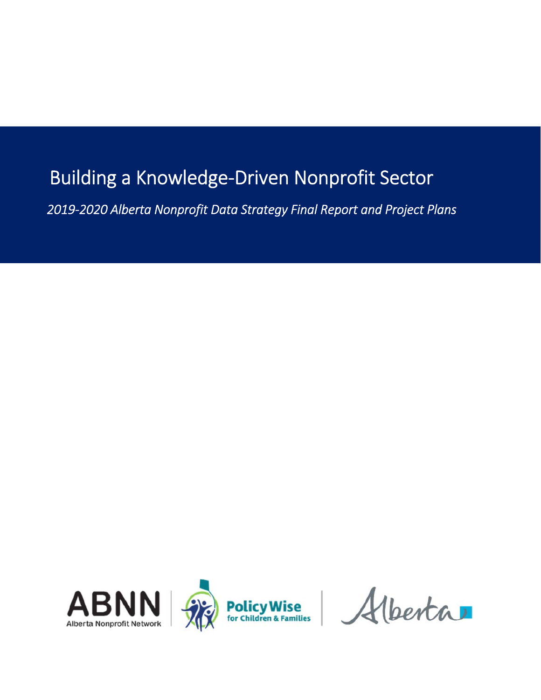# Building a Knowledge‐Driven Nonprofit Sector

 *2019‐2020 Alberta Nonprofit Data Strategy Final Report and Project Plans* 

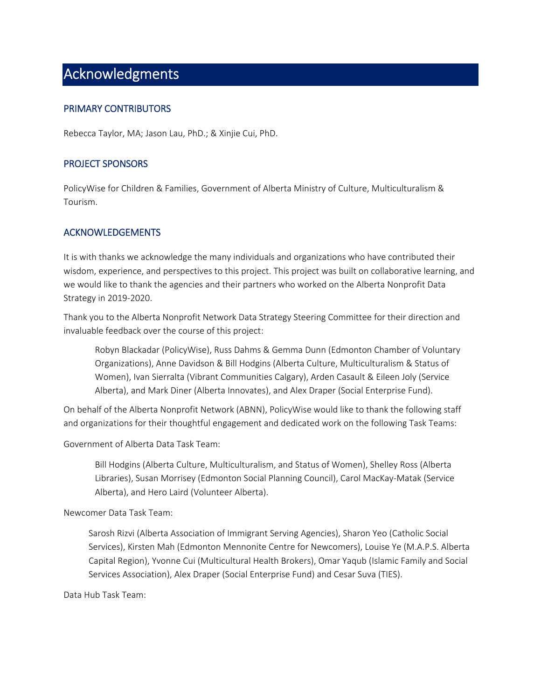## Acknowledgments

#### PRIMARY CONTRIBUTORS

Rebecca Taylor, MA; Jason Lau, PhD.; & Xinjie Cui, PhD.

#### PROJECT SPONSORS

PolicyWise for Children & Families, Government of Alberta Ministry of Culture, Multiculturalism & Tourism.

#### ACKNOWLEDGEMENTS

It is with thanks we acknowledge the many individuals and organizations who have contributed their wisdom, experience, and perspectives to this project. This project was built on collaborative learning, and we would like to thank the agencies and their partners who worked on the Alberta Nonprofit Data Strategy in 2019‐2020.

Thank you to the Alberta Nonprofit Network Data Strategy Steering Committee for their direction and invaluable feedback over the course of this project:

 Robyn Blackadar (PolicyWise), Russ Dahms & Gemma Dunn (Edmonton Chamber of Voluntary Organizations), Anne Davidson & Bill Hodgins (Alberta Culture, Multiculturalism & Status of Women), Ivan Sierralta (Vibrant Communities Calgary), Arden Casault & Eileen Joly (Service Alberta), and Mark Diner (Alberta Innovates), and Alex Draper (Social Enterprise Fund).

On behalf of the Alberta Nonprofit Network (ABNN), PolicyWise would like to thank the following staff and organizations for their thoughtful engagement and dedicated work on the following Task Teams:

Government of Alberta Data Task Team:

Bill Hodgins (Alberta Culture, Multiculturalism, and Status of Women), Shelley Ross (Alberta Libraries), Susan Morrisey (Edmonton Social Planning Council), Carol MacKay‐Matak (Service Alberta), and Hero Laird (Volunteer Alberta).

Newcomer Data Task Team:

Sarosh Rizvi (Alberta Association of Immigrant Serving Agencies), Sharon Yeo (Catholic Social Services), Kirsten Mah (Edmonton Mennonite Centre for Newcomers), Louise Ye (M.A.P.S. Alberta Capital Region), Yvonne Cui (Multicultural Health Brokers), Omar Yaqub (Islamic Family and Social Services Association), Alex Draper (Social Enterprise Fund) and Cesar Suva (TIES).

Data Hub Task Team: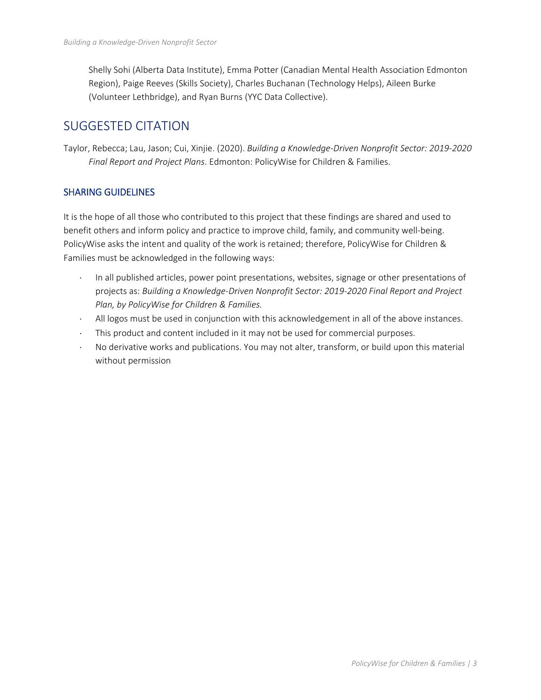Shelly Sohi (Alberta Data Institute), Emma Potter (Canadian Mental Health Association Edmonton Region), Paige Reeves (Skills Society), Charles Buchanan (Technology Helps), Aileen Burke (Volunteer Lethbridge), and Ryan Burns (YYC Data Collective).

## SUGGESTED CITATION

Taylor, Rebecca; Lau, Jason; Cui, Xinjie. (2020). *Building a Knowledge‐Driven Nonprofit Sector: 2019‐2020 Final Report and Project Plans*. Edmonton: PolicyWise for Children & Families.

#### SHARING GUIDELINES

It is the hope of all those who contributed to this project that these findings are shared and used to benefit others and inform policy and practice to improve child, family, and community well-being. PolicyWise asks the intent and quality of the work is retained; therefore, PolicyWise for Children & Families must be acknowledged in the following ways:

- In all published articles, power point presentations, websites, signage or other presentations of projects as: *Building a Knowledge‐Driven Nonprofit Sector: 2019‐2020 Final Report and Project Plan, by PolicyWise for Children & Families.*
- All logos must be used in conjunction with this acknowledgement in all of the above instances.
- This product and content included in it may not be used for commercial purposes.
- No derivative works and publications. You may not alter, transform, or build upon this material without permission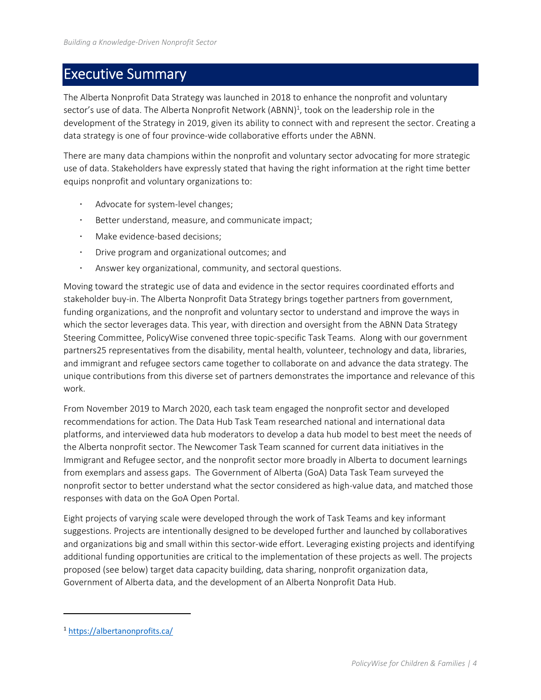## Executive Summary

The Alberta Nonprofit Data Strategy was launched in 2018 to enhance the nonprofit and voluntary sector's use of data. The Alberta Nonprofit Network (ABNN)<sup>1</sup>, took on the leadership role in the development of the Strategy in 2019, given its ability to connect with and represent the sector. Creating a data strategy is one of four province‐wide collaborative efforts under the ABNN.

There are many data champions within the nonprofit and voluntary sector advocating for more strategic use of data. Stakeholders have expressly stated that having the right information at the right time better equips nonprofit and voluntary organizations to:

- Advocate for system‐level changes;
- Better understand, measure, and communicate impact;
- Make evidence‐based decisions;
- Drive program and organizational outcomes; and
- Answer key organizational, community, and sectoral questions.

Moving toward the strategic use of data and evidence in the sector requires coordinated efforts and stakeholder buy‐in. The Alberta Nonprofit Data Strategy brings together partners from government, funding organizations, and the nonprofit and voluntary sector to understand and improve the ways in which the sector leverages data. This year, with direction and oversight from the ABNN Data Strategy Steering Committee, PolicyWise convened three topic‐specific Task Teams. Along with our government partners25 representatives from the disability, mental health, volunteer, technology and data, libraries, and immigrant and refugee sectors came together to collaborate on and advance the data strategy. The unique contributions from this diverse set of partners demonstrates the importance and relevance of this work.

From November 2019 to March 2020, each task team engaged the nonprofit sector and developed recommendations for action. The Data Hub Task Team researched national and international data platforms, and interviewed data hub moderators to develop a data hub model to best meet the needs of the Alberta nonprofit sector. The Newcomer Task Team scanned for current data initiatives in the Immigrant and Refugee sector, and the nonprofit sector more broadly in Alberta to document learnings from exemplars and assess gaps. The Government of Alberta (GoA) Data Task Team surveyed the nonprofit sector to better understand what the sector considered as high-value data, and matched those responses with data on the GoA Open Portal.

Eight projects of varying scale were developed through the work of Task Teams and key informant suggestions. Projects are intentionally designed to be developed further and launched by collaboratives and organizations big and small within this sector‐wide effort. Leveraging existing projects and identifying additional funding opportunities are critical to the implementation of these projects as well. The projects proposed (see below) target data capacity building, data sharing, nonprofit organization data, Government of Alberta data, and the development of an Alberta Nonprofit Data Hub.

<sup>1</sup> https://albertanonprofits.ca/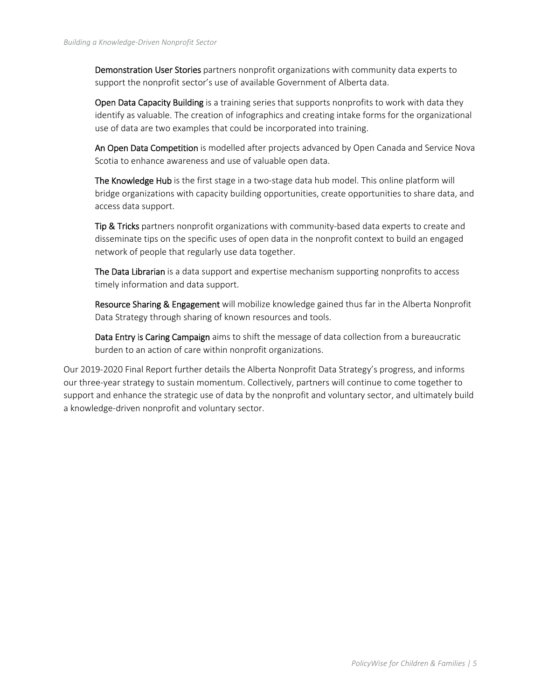Demonstration User Stories partners nonprofit organizations with community data experts to support the nonprofit sector's use of available Government of Alberta data.

Open Data Capacity Building is a training series that supports nonprofits to work with data they identify as valuable. The creation of infographics and creating intake forms for the organizational use of data are two examples that could be incorporated into training.

An Open Data Competition is modelled after projects advanced by Open Canada and Service Nova Scotia to enhance awareness and use of valuable open data.

The Knowledge Hub is the first stage in a two-stage data hub model. This online platform will bridge organizations with capacity building opportunities, create opportunities to share data, and access data support.

Tip & Tricks partners nonprofit organizations with community-based data experts to create and disseminate tips on the specific uses of open data in the nonprofit context to build an engaged network of people that regularly use data together.

The Data Librarian is a data support and expertise mechanism supporting nonprofits to access timely information and data support.

Resource Sharing & Engagement will mobilize knowledge gained thus far in the Alberta Nonprofit Data Strategy through sharing of known resources and tools.

Data Entry is Caring Campaign aims to shift the message of data collection from a bureaucratic burden to an action of care within nonprofit organizations.

Our 2019‐2020 Final Report further details the Alberta Nonprofit Data Strategy's progress, and informs our three‐year strategy to sustain momentum. Collectively, partners will continue to come together to support and enhance the strategic use of data by the nonprofit and voluntary sector, and ultimately build a knowledge‐driven nonprofit and voluntary sector.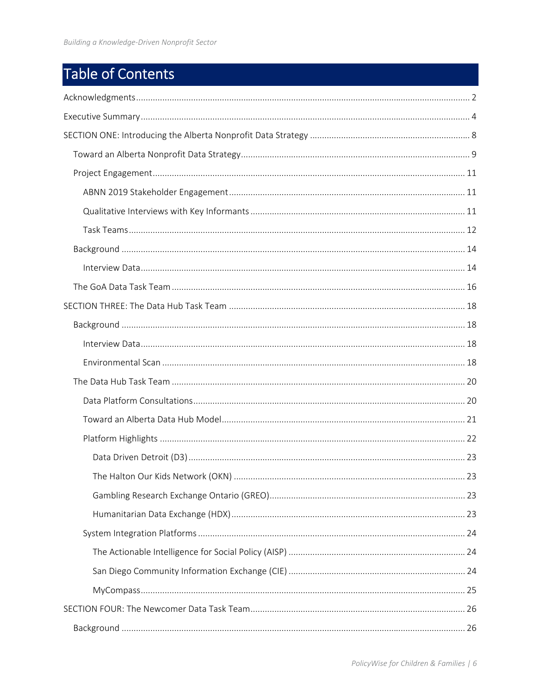# Table of Contents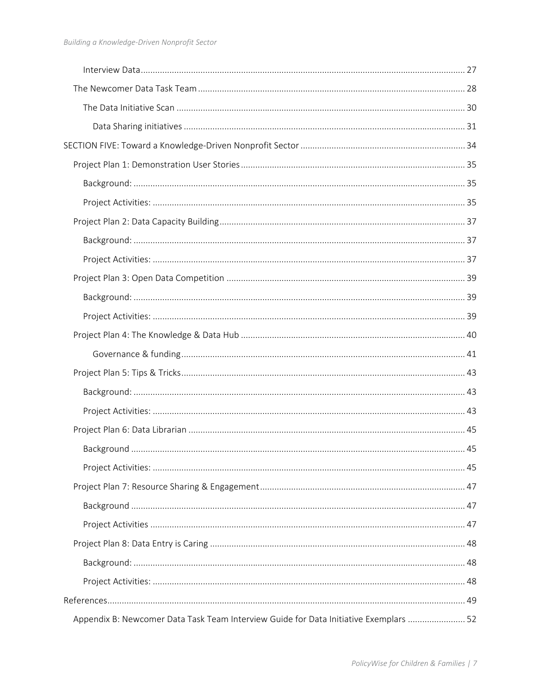| Appendix B: Newcomer Data Task Team Interview Guide for Data Initiative Exemplars  52 |  |
|---------------------------------------------------------------------------------------|--|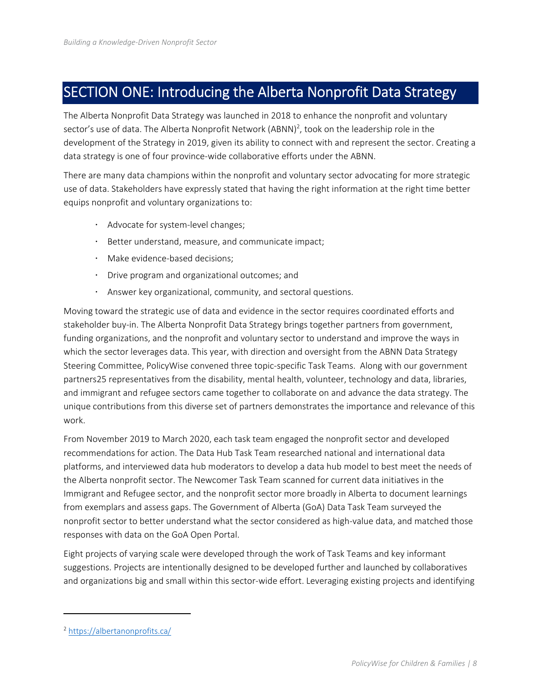## SECTION ONE: Introducing the Alberta Nonprofit Data Strategy

The Alberta Nonprofit Data Strategy was launched in 2018 to enhance the nonprofit and voluntary sector's use of data. The Alberta Nonprofit Network (ABNN)<sup>2</sup>, took on the leadership role in the development of the Strategy in 2019, given its ability to connect with and represent the sector. Creating a data strategy is one of four province‐wide collaborative efforts under the ABNN.

There are many data champions within the nonprofit and voluntary sector advocating for more strategic use of data. Stakeholders have expressly stated that having the right information at the right time better equips nonprofit and voluntary organizations to:

- Advocate for system-level changes;
- Better understand, measure, and communicate impact;
- Make evidence-based decisions;
- Drive program and organizational outcomes; and
- Answer key organizational, community, and sectoral questions.

Moving toward the strategic use of data and evidence in the sector requires coordinated efforts and stakeholder buy‐in. The Alberta Nonprofit Data Strategy brings together partners from government, funding organizations, and the nonprofit and voluntary sector to understand and improve the ways in which the sector leverages data. This year, with direction and oversight from the ABNN Data Strategy Steering Committee, PolicyWise convened three topic‐specific Task Teams. Along with our government partners25 representatives from the disability, mental health, volunteer, technology and data, libraries, and immigrant and refugee sectors came together to collaborate on and advance the data strategy. The unique contributions from this diverse set of partners demonstrates the importance and relevance of this work.

From November 2019 to March 2020, each task team engaged the nonprofit sector and developed recommendations for action. The Data Hub Task Team researched national and international data platforms, and interviewed data hub moderators to develop a data hub model to best meet the needs of the Alberta nonprofit sector. The Newcomer Task Team scanned for current data initiatives in the Immigrant and Refugee sector, and the nonprofit sector more broadly in Alberta to document learnings from exemplars and assess gaps. The Government of Alberta (GoA) Data Task Team surveyed the nonprofit sector to better understand what the sector considered as high-value data, and matched those responses with data on the GoA Open Portal.

Eight projects of varying scale were developed through the work of Task Teams and key informant suggestions. Projects are intentionally designed to be developed further and launched by collaboratives and organizations big and small within this sector-wide effort. Leveraging existing projects and identifying

<sup>2</sup> https://albertanonprofits.ca/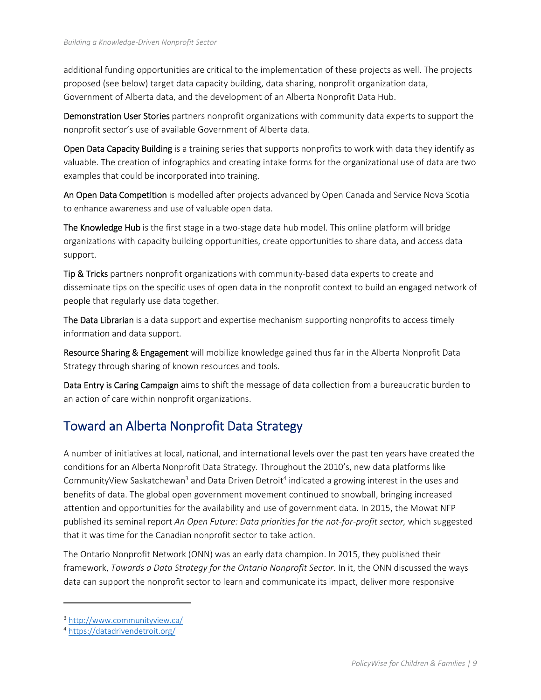additional funding opportunities are critical to the implementation of these projects as well. The projects proposed (see below) target data capacity building, data sharing, nonprofit organization data, Government of Alberta data, and the development of an Alberta Nonprofit Data Hub.

Demonstration User Stories partners nonprofit organizations with community data experts to support the nonprofit sector's use of available Government of Alberta data.

Open Data Capacity Building is a training series that supports nonprofits to work with data they identify as valuable. The creation of infographics and creating intake forms for the organizational use of data are two examples that could be incorporated into training.

An Open Data Competition is modelled after projects advanced by Open Canada and Service Nova Scotia to enhance awareness and use of valuable open data.

The Knowledge Hub is the first stage in a two-stage data hub model. This online platform will bridge organizations with capacity building opportunities, create opportunities to share data, and access data support.

Tip & Tricks partners nonprofit organizations with community-based data experts to create and disseminate tips on the specific uses of open data in the nonprofit context to build an engaged network of people that regularly use data together.

The Data Librarian is a data support and expertise mechanism supporting nonprofits to access timely information and data support.

Resource Sharing & Engagement will mobilize knowledge gained thus far in the Alberta Nonprofit Data Strategy through sharing of known resources and tools.

Data Entry is Caring Campaign aims to shift the message of data collection from a bureaucratic burden to an action of care within nonprofit organizations.

## Toward an Alberta Nonprofit Data Strategy

A number of initiatives at local, national, and international levels over the past ten years have created the conditions for an Alberta Nonprofit Data Strategy. Throughout the 2010's, new data platforms like CommunityView Saskatchewan<sup>3</sup> and Data Driven Detroit<sup>4</sup> indicated a growing interest in the uses and benefits of data. The global open government movement continued to snowball, bringing increased attention and opportunities for the availability and use of government data. In 2015, the Mowat NFP published its seminal report *An Open Future: Data priorities for the not-for-profit sector, which suggested* that it was time for the Canadian nonprofit sector to take action.

The Ontario Nonprofit Network (ONN) was an early data champion. In 2015, they published their framework, *Towards a Data Strategy for the Ontario Nonprofit Sector*. In it, the ONN discussed the ways data can support the nonprofit sector to learn and communicate its impact, deliver more responsive

<sup>3</sup> http://www.communityview.ca/

<sup>4</sup> https://datadrivendetroit.org/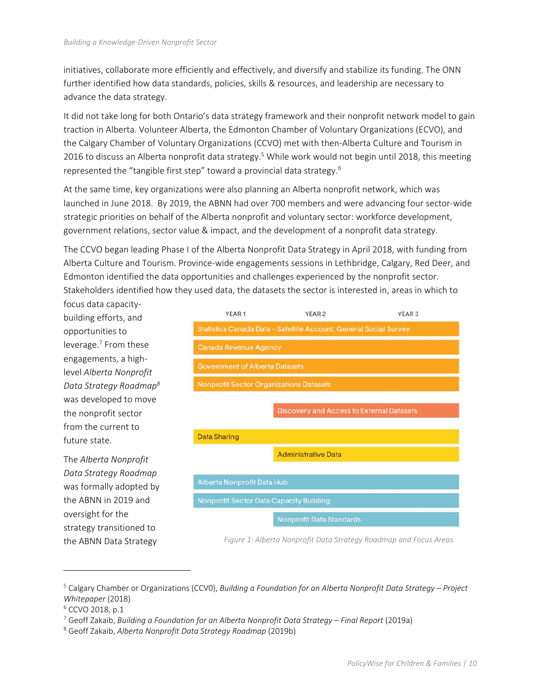initiatives, collaborate more efficiently and effectively, and diversify and stabilize its funding. The ONN further identified how data standards, policies, skills & resources, and leadership are necessary to advance the data strategy.

It did not take long for both Ontario's data strategy framework and their nonprofit network model to gain traction in Alberta. Volunteer Alberta, the Edmonton Chamber of Voluntary Organizations (ECVO), and the Calgary Chamber of Voluntary Organizations (CCVO) met with then‐Alberta Culture and Tourism in 2016 to discuss an Alberta nonprofit data strategy.<sup>5</sup> While work would not begin until 2018, this meeting represented the "tangible first step" toward a provincial data strategy.6

At the same time, key organizations were also planning an Alberta nonprofit network, which was launched in June 2018. By 2019, the ABNN had over 700 members and were advancing four sector‐wide strategic priorities on behalf of the Alberta nonprofit and voluntary sector: workforce development, government relations, sector value & impact, and the development of a nonprofit data strategy.

The CCVO began leading Phase I of the Alberta Nonprofit Data Strategy in April 2018, with funding from Alberta Culture and Tourism. Province‐wide engagements sessions in Lethbridge, Calgary, Red Deer, and Edmonton identified the data opportunities and challenges experienced by the nonprofit sector. Stakeholders identified how they used data, the datasets the sector is interested in, areas in which to

focus data capacity‐ building efforts, and opportunities to leverage.7 From these engagements, a high‐ level *Alberta Nonprofit Data Strategy Roadmap8* was developed to move the nonprofit sector from the current to future state.

The *Alberta Nonprofit Data Strategy Roadmap* was formally adopted by the ABNN in 2019 and oversight for the strategy transitioned to the ABNN Data Strategy



*Figure 1: Alberta Nonprofit Data Strategy Roadmap and Focus Areas* 

<sup>5</sup> Calgary Chamber or Organizations (CCV0), *Building a Foundation for an Alberta Nonprofit Data Strategy – Project Whitepaper* (2018)

<sup>6</sup> CCVO 2018, p.1

<sup>7</sup> Geoff Zakaib, *Building a Foundation for an Alberta Nonprofit Data Strategy – Final Report* (2019a)

<sup>8</sup> Geoff Zakaib, *Alberta Nonprofit Data Strategy Roadmap* (2019b)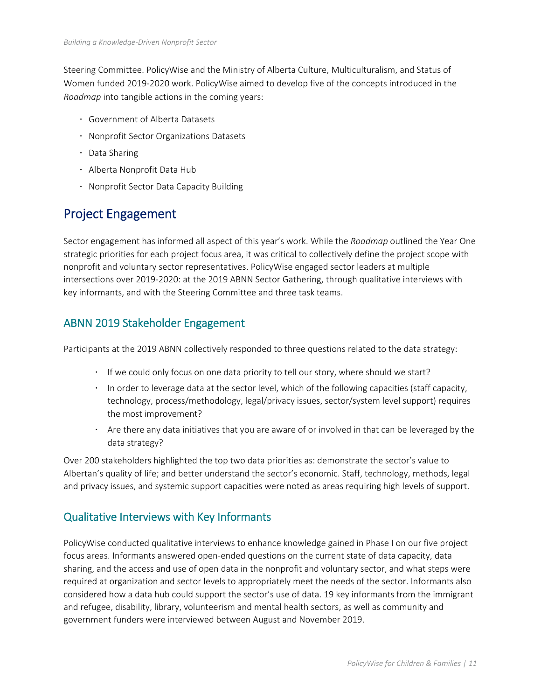Steering Committee. PolicyWise and the Ministry of Alberta Culture, Multiculturalism, and Status of Women funded 2019‐2020 work. PolicyWise aimed to develop five of the concepts introduced in the *Roadmap* into tangible actions in the coming years:

- Government of Alberta Datasets
- Nonprofit Sector Organizations Datasets
- Data Sharing
- Alberta Nonprofit Data Hub
- Nonprofit Sector Data Capacity Building

## Project Engagement

Sector engagement has informed all aspect of this year's work. While the *Roadmap* outlined the Year One strategic priorities for each project focus area, it was critical to collectively define the project scope with nonprofit and voluntary sector representatives. PolicyWise engaged sector leaders at multiple intersections over 2019‐2020: at the 2019 ABNN Sector Gathering, through qualitative interviews with key informants, and with the Steering Committee and three task teams.

### ABNN 2019 Stakeholder Engagement

Participants at the 2019 ABNN collectively responded to three questions related to the data strategy:

- If we could only focus on one data priority to tell our story, where should we start?
- In order to leverage data at the sector level, which of the following capacities (staff capacity, technology, process/methodology, legal/privacy issues, sector/system level support) requires the most improvement?
- $\cdot$  Are there any data initiatives that you are aware of or involved in that can be leveraged by the data strategy?

Over 200 stakeholders highlighted the top two data priorities as: demonstrate the sector's value to Albertan's quality of life; and better understand the sector's economic. Staff, technology, methods, legal and privacy issues, and systemic support capacities were noted as areas requiring high levels of support.

### Qualitative Interviews with Key Informants

PolicyWise conducted qualitative interviews to enhance knowledge gained in Phase I on our five project focus areas. Informants answered open-ended questions on the current state of data capacity, data sharing, and the access and use of open data in the nonprofit and voluntary sector, and what steps were required at organization and sector levels to appropriately meet the needs of the sector. Informants also considered how a data hub could support the sector's use of data. 19 key informants from the immigrant and refugee, disability, library, volunteerism and mental health sectors, as well as community and government funders were interviewed between August and November 2019.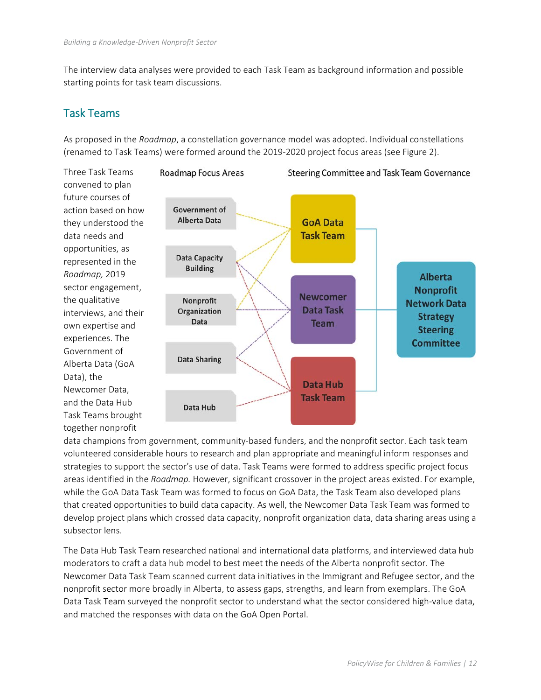The interview data analyses were provided to each Task Team as background information and possible starting points for task team discussions.

### Task Teams

As proposed in the *Roadmap*, a constellation governance model was adopted. Individual constellations (renamed to Task Teams) were formed around the 2019‐2020 project focus areas (see Figure 2).



data champions from government, community‐based funders, and the nonprofit sector. Each task team volunteered considerable hours to research and plan appropriate and meaningful inform responses and strategies to support the sector's use of data. Task Teams were formed to address specific project focus areas identified in the *Roadmap.* However, significant crossover in the project areas existed. For example, while the GoA Data Task Team was formed to focus on GoA Data, the Task Team also developed plans that created opportunities to build data capacity. As well, the Newcomer Data Task Team was formed to develop project plans which crossed data capacity, nonprofit organization data, data sharing areas using a subsector lens.

The Data Hub Task Team researched national and international data platforms, and interviewed data hub moderators to craft a data hub model to best meet the needs of the Alberta nonprofit sector. The Newcomer Data Task Team scanned current data initiatives in the Immigrant and Refugee sector, and the nonprofit sector more broadly in Alberta, to assess gaps, strengths, and learn from exemplars. The GoA Data Task Team surveyed the nonprofit sector to understand what the sector considered high-value data, and matched the responses with data on the GoA Open Portal.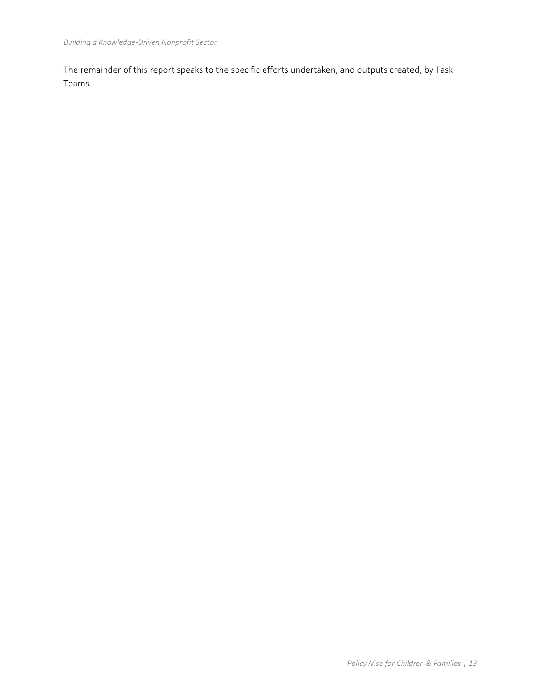The remainder of this report speaks to the specific efforts undertaken, and outputs created, by Task Teams.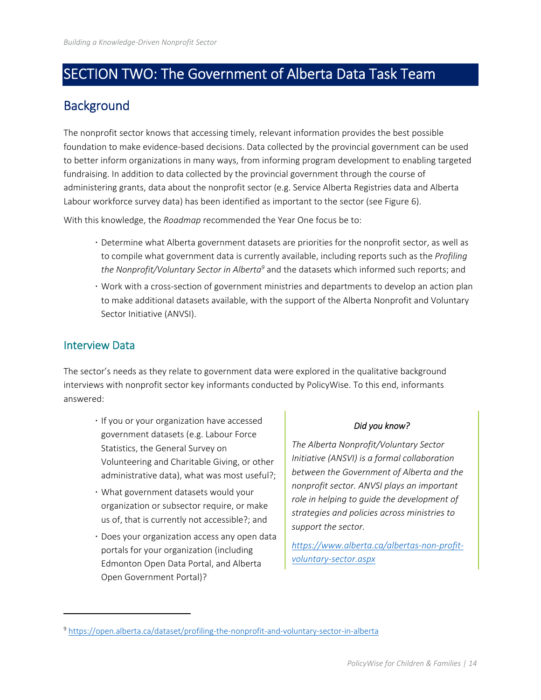## SECTION TWO: The Government of Alberta Data Task Team

## **Background**

The nonprofit sector knows that accessing timely, relevant information provides the best possible foundation to make evidence‐based decisions. Data collected by the provincial government can be used to better inform organizations in many ways, from informing program development to enabling targeted fundraising. In addition to data collected by the provincial government through the course of administering grants, data about the nonprofit sector (e.g. Service Alberta Registries data and Alberta Labour workforce survey data) has been identified as important to the sector (see Figure 6).

With this knowledge, the *Roadmap* recommended the Year One focus be to:

- Determine what Alberta government datasets are priorities for the nonprofit sector, as well as to compile what government data is currently available, including reports such as the *Profiling*  the Nonprofit/Voluntary Sector in Alberta<sup>9</sup> and the datasets which informed such reports; and
- Work with a cross‐section of government ministries and departments to develop an action plan to make additional datasets available, with the support of the Alberta Nonprofit and Voluntary Sector Initiative (ANVSI).

### Interview Data

The sector's needs as they relate to government data were explored in the qualitative background interviews with nonprofit sector key informants conducted by PolicyWise. To this end, informants answered:

- $\cdot$  If you or your organization have accessed government datasets (e.g. Labour Force Statistics, the General Survey on Volunteering and Charitable Giving, or other administrative data), what was most useful?;
- What government datasets would your organization or subsector require, or make us of, that is currently not accessible?; and
- Does your organization access any open data portals for your organization (including Edmonton Open Data Portal, and Alberta Open Government Portal)?

#### *Did you know?*

*The Alberta Nonprofit/Voluntary Sector Initiative (ANSVI) is a formal collaboration between the Government of Alberta and the nonprofit sector. ANVSI plays an important role in helping to guide the development of strategies and policies across ministries to support the sector.* 

*https://www.alberta.ca/albertas‐non‐profit‐ voluntary‐sector.aspx*

<sup>9</sup> https://open.alberta.ca/dataset/profiling-the-nonprofit-and-voluntary-sector-in-alberta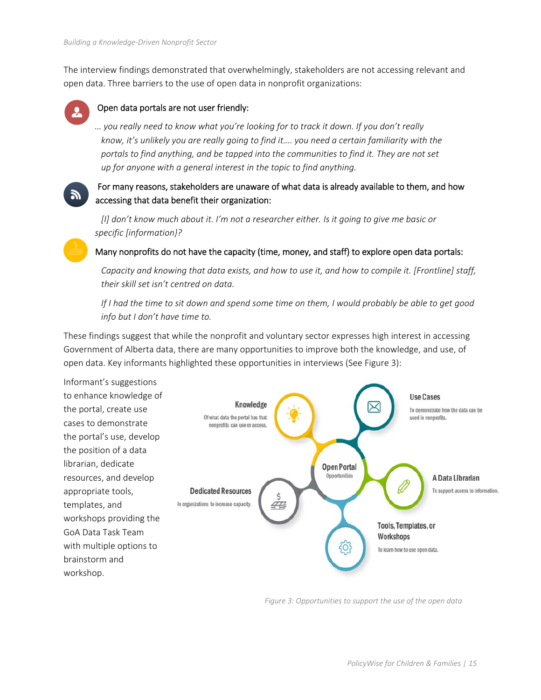The interview findings demonstrated that overwhelmingly, stakeholders are not accessing relevant and open data. Three barriers to the use of open data in nonprofit organizations:



#### Open data portals are not user friendly:

*… you really need to know what you're looking for to track it down. If you don't really know, it's unlikely you are really going to find it…. you need a certain familiarity with the portals to find anything, and be tapped into the communities to find it. They are not set up for anyone with a general interest in the topic to find anything.* 



#### For many reasons, stakeholders are unaware of what data is already available to them, and how accessing that data benefit their organization:

*[I] don't know much about it. I'm not a researcher either. Is it going to give me basic or specific [information}?* 

#### Many nonprofits do not have the capacity (time, money, and staff) to explore open data portals:

*Capacity and knowing that data exists, and how to use it, and how to compile it. [Frontline] staff, their skill set isn't centred on data.* 

*If I had the time to sit down and spend some time on them, I would probably be able to get good info but I don't have time to.* 

These findings suggest that while the nonprofit and voluntary sector expresses high interest in accessing Government of Alberta data, there are many opportunities to improve both the knowledge, and use, of open data. Key informants highlighted these opportunities in interviews (See Figure 3):



*Figure 3: Opportunities to support the use of the open data*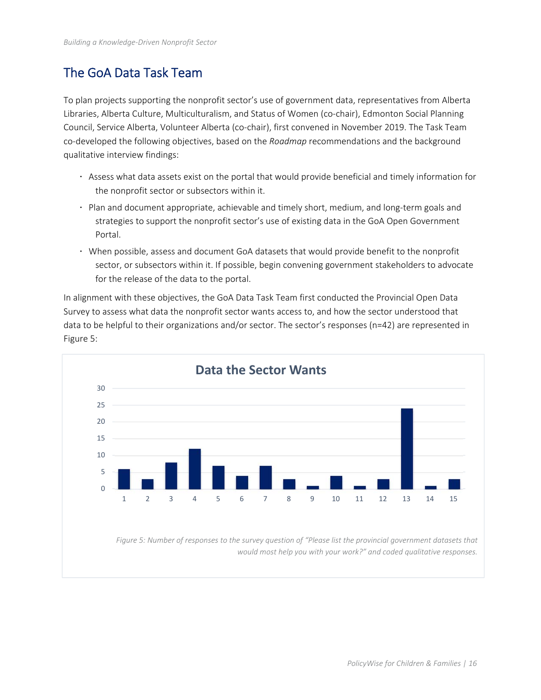## The GoA Data Task Team

To plan projects supporting the nonprofit sector's use of government data, representatives from Alberta Libraries, Alberta Culture, Multiculturalism, and Status of Women (co‐chair), Edmonton Social Planning Council, Service Alberta, Volunteer Alberta (co‐chair), first convened in November 2019. The Task Team co‐developed the following objectives, based on the *Roadmap* recommendations and the background qualitative interview findings:

- Assess what data assets exist on the portal that would provide beneficial and timely information for the nonprofit sector or subsectors within it.
- Plan and document appropriate, achievable and timely short, medium, and long-term goals and strategies to support the nonprofit sector's use of existing data in the GoA Open Government Portal.
- When possible, assess and document GoA datasets that would provide benefit to the nonprofit sector, or subsectors within it. If possible, begin convening government stakeholders to advocate for the release of the data to the portal.

In alignment with these objectives, the GoA Data Task Team first conducted the Provincial Open Data Survey to assess what data the nonprofit sector wants access to, and how the sector understood that data to be helpful to their organizations and/or sector. The sector's responses (n=42) are represented in Figure 5:

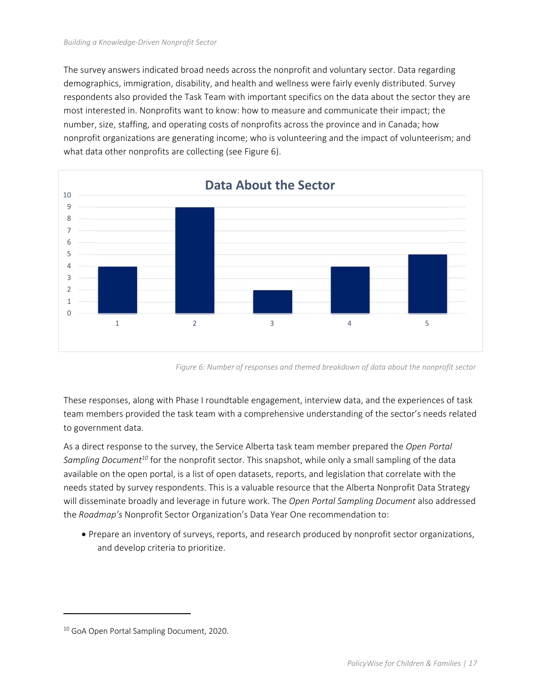The survey answers indicated broad needs across the nonprofit and voluntary sector. Data regarding demographics, immigration, disability, and health and wellness were fairly evenly distributed. Survey respondents also provided the Task Team with important specifics on the data about the sector they are most interested in. Nonprofits want to know: how to measure and communicate their impact; the number, size, staffing, and operating costs of nonprofits across the province and in Canada; how nonprofit organizations are generating income; who is volunteering and the impact of volunteerism; and what data other nonprofits are collecting (see Figure 6).



*Figure 6: Number of responses and themed breakdown of data about the nonprofit sector* 

These responses, along with Phase I roundtable engagement, interview data, and the experiences of task team members provided the task team with a comprehensive understanding of the sector's needs related to government data.

As a direct response to the survey, the Service Alberta task team member prepared the *Open Portal Sampling Document10* for the nonprofit sector. This snapshot, while only a small sampling of the data available on the open portal, is a list of open datasets, reports, and legislation that correlate with the needs stated by survey respondents. This is a valuable resource that the Alberta Nonprofit Data Strategy will disseminate broadly and leverage in future work. The *Open Portal Sampling Document* also addressed the *Roadmap's* Nonprofit Sector Organization's Data Year One recommendation to:

 Prepare an inventory of surveys, reports, and research produced by nonprofit sector organizations, and develop criteria to prioritize.

<sup>&</sup>lt;sup>10</sup> GoA Open Portal Sampling Document, 2020.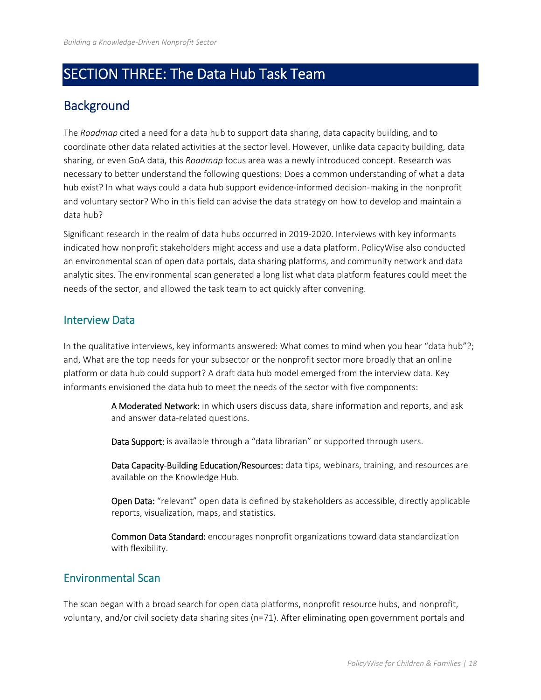## SECTION THREE: The Data Hub Task Team

## **Background**

The *Roadmap* cited a need for a data hub to support data sharing, data capacity building, and to coordinate other data related activities at the sector level. However, unlike data capacity building, data sharing, or even GoA data, this *Roadmap* focus area was a newly introduced concept. Research was necessary to better understand the following questions: Does a common understanding of what a data hub exist? In what ways could a data hub support evidence-informed decision-making in the nonprofit and voluntary sector? Who in this field can advise the data strategy on how to develop and maintain a data hub?

Significant research in the realm of data hubs occurred in 2019‐2020. Interviews with key informants indicated how nonprofit stakeholders might access and use a data platform. PolicyWise also conducted an environmental scan of open data portals, data sharing platforms, and community network and data analytic sites. The environmental scan generated a long list what data platform features could meet the needs of the sector, and allowed the task team to act quickly after convening.

### Interview Data

In the qualitative interviews, key informants answered: What comes to mind when you hear "data hub"?; and, What are the top needs for your subsector or the nonprofit sector more broadly that an online platform or data hub could support? A draft data hub model emerged from the interview data. Key informants envisioned the data hub to meet the needs of the sector with five components:

> A Moderated Network: in which users discuss data, share information and reports, and ask and answer data‐related questions.

Data Support: is available through a "data librarian" or supported through users.

Data Capacity-Building Education/Resources: data tips, webinars, training, and resources are available on the Knowledge Hub.

Open Data: "relevant" open data is defined by stakeholders as accessible, directly applicable reports, visualization, maps, and statistics.

Common Data Standard: encourages nonprofit organizations toward data standardization with flexibility.

### Environmental Scan

The scan began with a broad search for open data platforms, nonprofit resource hubs, and nonprofit, voluntary, and/or civil society data sharing sites (n=71). After eliminating open government portals and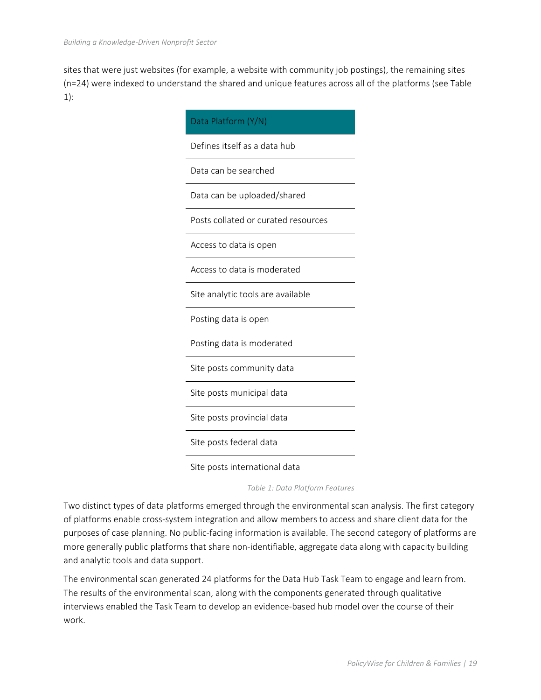sites that were just websites (for example, a website with community job postings), the remaining sites (n=24) were indexed to understand the shared and unique features across all of the platforms (see Table 1):

| Data Platform (Y/N)                 |
|-------------------------------------|
| Defines itself as a data hub        |
| Data can be searched                |
| Data can be uploaded/shared         |
| Posts collated or curated resources |
| Access to data is open              |
| Access to data is moderated         |
| Site analytic tools are available   |
| Posting data is open                |
| Posting data is moderated           |
| Site posts community data           |
| Site posts municipal data           |
| Site posts provincial data          |
| Site posts federal data             |
| Site posts international data       |

 *Table 1: Data Platform Features* 

Two distinct types of data platforms emerged through the environmental scan analysis. The first category of platforms enable cross‐system integration and allow members to access and share client data for the purposes of case planning. No public‐facing information is available. The second category of platforms are more generally public platforms that share non-identifiable, aggregate data along with capacity building and analytic tools and data support.

The environmental scan generated 24 platforms for the Data Hub Task Team to engage and learn from. The results of the environmental scan, along with the components generated through qualitative interviews enabled the Task Team to develop an evidence‐based hub model over the course of their work.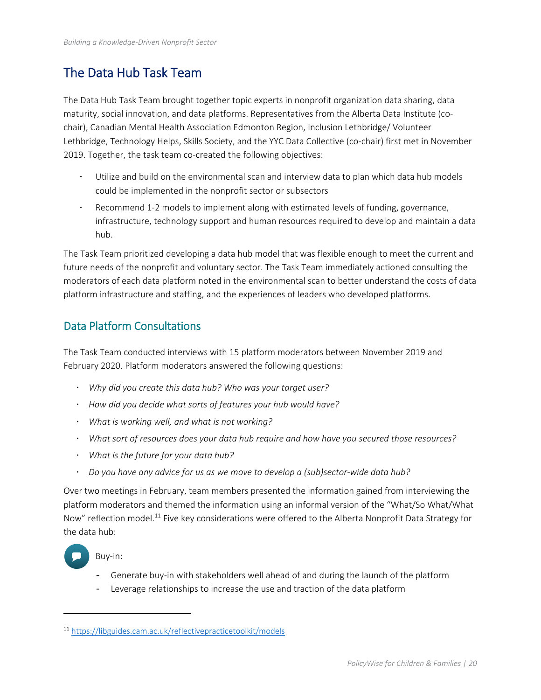## The Data Hub Task Team

The Data Hub Task Team brought together topic experts in nonprofit organization data sharing, data maturity, social innovation, and data platforms. Representatives from the Alberta Data Institute (co‐ chair), Canadian Mental Health Association Edmonton Region, Inclusion Lethbridge/ Volunteer Lethbridge, Technology Helps, Skills Society, and the YYC Data Collective (co-chair) first met in November 2019. Together, the task team co-created the following objectives:

- Utilize and build on the environmental scan and interview data to plan which data hub models could be implemented in the nonprofit sector or subsectors
- Recommend 1‐2 models to implement along with estimated levels of funding, governance, infrastructure, technology support and human resources required to develop and maintain a data hub.

The Task Team prioritized developing a data hub model that was flexible enough to meet the current and future needs of the nonprofit and voluntary sector. The Task Team immediately actioned consulting the moderators of each data platform noted in the environmental scan to better understand the costs of data platform infrastructure and staffing, and the experiences of leaders who developed platforms.

### Data Platform Consultations

The Task Team conducted interviews with 15 platform moderators between November 2019 and February 2020. Platform moderators answered the following questions:

- *Why did you create this data hub? Who was your target user?*
- *How did you decide what sorts of features your hub would have?*
- *What is working well, and what is not working?*
- *What sort of resources does your data hub require and how have you secured those resources?*
- *What is the future for your data hub?*
- *Do you have any advice for us as we move to develop a (sub)sector‐wide data hub?*

Over two meetings in February, team members presented the information gained from interviewing the platform moderators and themed the information using an informal version of the "What/So What/What Now" reflection model.<sup>11</sup> Five key considerations were offered to the Alberta Nonprofit Data Strategy for the data hub:



#### Buy‐in:

- Generate buy‐in with stakeholders well ahead of and during the launch of the platform
- Leverage relationships to increase the use and traction of the data platform

<sup>11</sup> https://libguides.cam.ac.uk/reflectivepracticetoolkit/models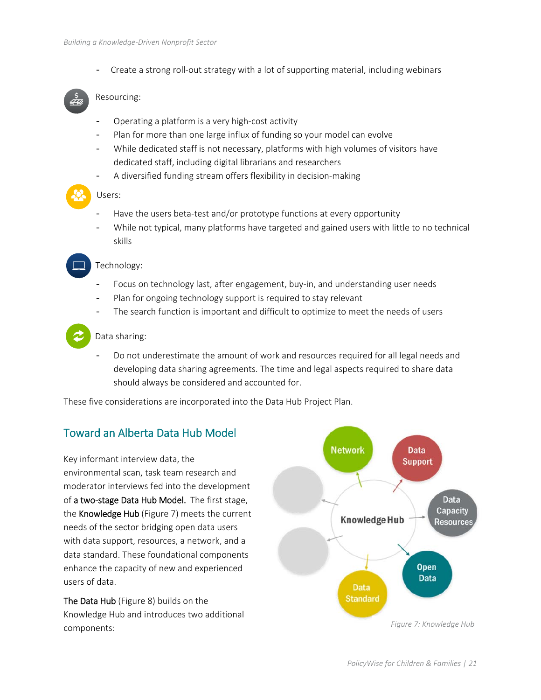- Create a strong roll‐out strategy with a lot of supporting material, including webinars

#### Resourcing:

- Operating a platform is a very high-cost activity
- Plan for more than one large influx of funding so your model can evolve
- While dedicated staff is not necessary, platforms with high volumes of visitors have dedicated staff, including digital librarians and researchers
- A diversified funding stream offers flexibility in decision-making

#### Users:

- Have the users beta-test and/or prototype functions at every opportunity
- While not typical, many platforms have targeted and gained users with little to no technical skills

#### Technology:

- Focus on technology last, after engagement, buy-in, and understanding user needs
- Plan for ongoing technology support is required to stay relevant
- The search function is important and difficult to optimize to meet the needs of users

#### Data sharing:

Do not underestimate the amount of work and resources required for all legal needs and developing data sharing agreements. The time and legal aspects required to share data should always be considered and accounted for.

These five considerations are incorporated into the Data Hub Project Plan.

### Toward an Alberta Data Hub Model

Key informant interview data, the environmental scan, task team research and moderator interviews fed into the development of a two-stage Data Hub Model. The first stage, the Knowledge Hub (Figure 7) meets the current needs of the sector bridging open data users with data support, resources, a network, and a data standard. These foundational components enhance the capacity of new and experienced users of data.

The Data Hub (Figure 8) builds on the Knowledge Hub and introduces two additional

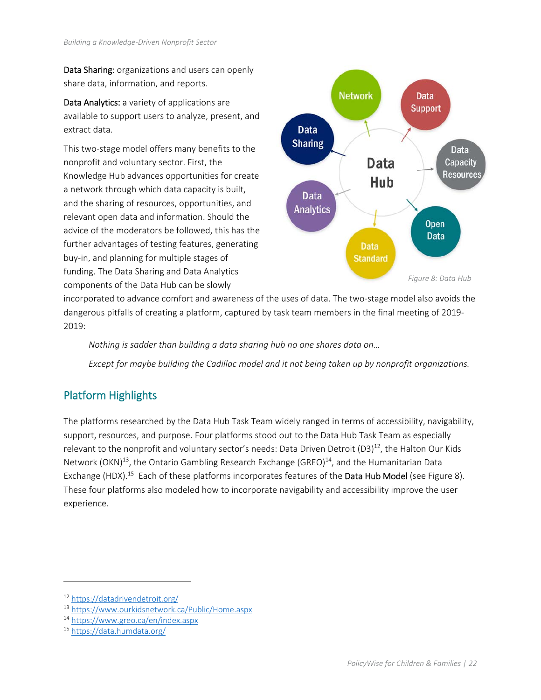Data Sharing: organizations and users can openly share data, information, and reports.

Data Analytics: a variety of applications are available to support users to analyze, present, and extract data.

This two‐stage model offers many benefits to the nonprofit and voluntary sector. First, the Knowledge Hub advances opportunities for create a network through which data capacity is built, and the sharing of resources, opportunities, and relevant open data and information. Should the advice of the moderators be followed, this has the further advantages of testing features, generating buy‐in, and planning for multiple stages of funding. The Data Sharing and Data Analytics components of the Data Hub can be slowly



incorporated to advance comfort and awareness of the uses of data. The two‐stage model also avoids the dangerous pitfalls of creating a platform, captured by task team members in the final meeting of 2019‐ 2019:

 *Nothing is sadder than building a data sharing hub no one shares data on…* 

 *Except for maybe building the Cadillac model and it not being taken up by nonprofit organizations.* 

## Platform Highlights

The platforms researched by the Data Hub Task Team widely ranged in terms of accessibility, navigability, support, resources, and purpose. Four platforms stood out to the Data Hub Task Team as especially relevant to the nonprofit and voluntary sector's needs: Data Driven Detroit (D3)<sup>12</sup>, the Halton Our Kids Network (OKN)<sup>13</sup>, the Ontario Gambling Research Exchange (GREO)<sup>14</sup>, and the Humanitarian Data Exchange (HDX).<sup>15</sup> Each of these platforms incorporates features of the **Data Hub Model** (see Figure 8). These four platforms also modeled how to incorporate navigability and accessibility improve the user experience.

<sup>12</sup> https://datadrivendetroit.org/

<sup>13</sup> https://www.ourkidsnetwork.ca/Public/Home.aspx

<sup>14</sup> https://www.greo.ca/en/index.aspx

<sup>15</sup> https://data.humdata.org/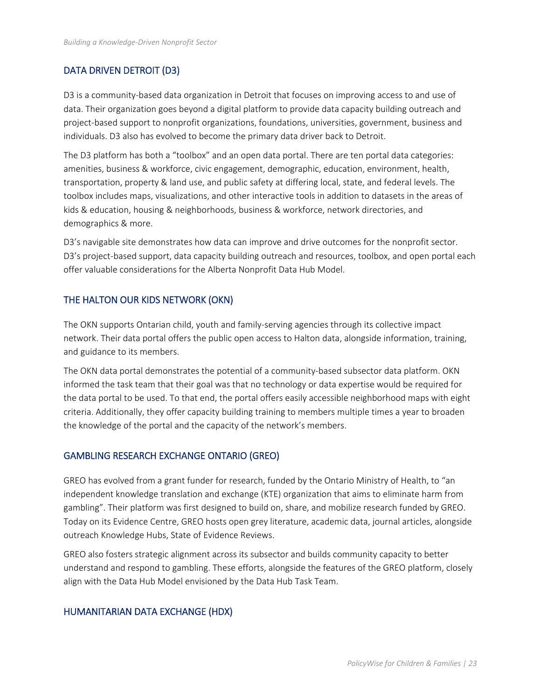### DATA DRIVEN DETROIT (D3)

D3 is a community-based data organization in Detroit that focuses on improving access to and use of data. Their organization goes beyond a digital platform to provide data capacity building outreach and project-based support to nonprofit organizations, foundations, universities, government, business and individuals. D3 also has evolved to become the primary data driver back to Detroit.

The D3 platform has both a "toolbox" and an open data portal. There are ten portal data categories: amenities, business & workforce, civic engagement, demographic, education, environment, health, transportation, property & land use, and public safety at differing local, state, and federal levels. The toolbox includes maps, visualizations, and other interactive tools in addition to datasets in the areas of kids & education, housing & neighborhoods, business & workforce, network directories, and demographics & more.

D3's navigable site demonstrates how data can improve and drive outcomes for the nonprofit sector. D3's project-based support, data capacity building outreach and resources, toolbox, and open portal each offer valuable considerations for the Alberta Nonprofit Data Hub Model.

#### THE HALTON OUR KIDS NETWORK (OKN)

The OKN supports Ontarian child, youth and family‐serving agencies through its collective impact network. Their data portal offers the public open access to Halton data, alongside information, training, and guidance to its members.

The OKN data portal demonstrates the potential of a community-based subsector data platform. OKN informed the task team that their goal was that no technology or data expertise would be required for the data portal to be used. To that end, the portal offers easily accessible neighborhood maps with eight criteria. Additionally, they offer capacity building training to members multiple times a year to broaden the knowledge of the portal and the capacity of the network's members.

#### GAMBLING RESEARCH EXCHANGE ONTARIO (GREO)

GREO has evolved from a grant funder for research, funded by the Ontario Ministry of Health, to "an independent knowledge translation and exchange (KTE) organization that aims to eliminate harm from gambling". Their platform was first designed to build on, share, and mobilize research funded by GREO. Today on its Evidence Centre, GREO hosts open grey literature, academic data, journal articles, alongside outreach Knowledge Hubs, State of Evidence Reviews.

GREO also fosters strategic alignment across its subsector and builds community capacity to better understand and respond to gambling. These efforts, alongside the features of the GREO platform, closely align with the Data Hub Model envisioned by the Data Hub Task Team.

#### HUMANITARIAN DATA EXCHANGE (HDX)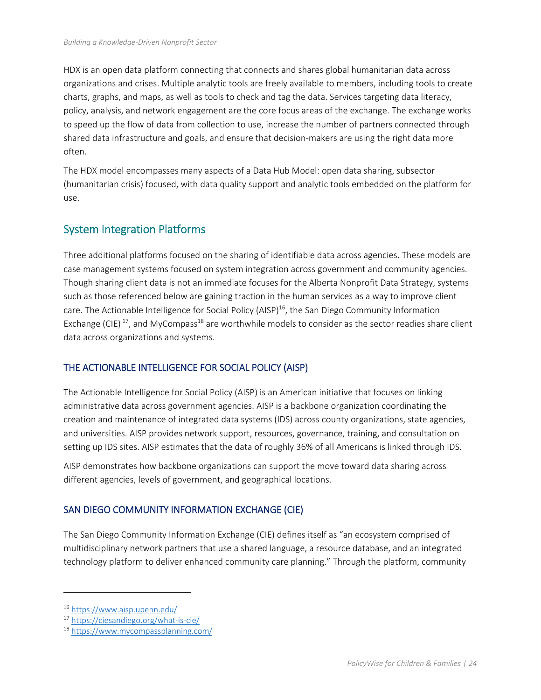HDX is an open data platform connecting that connects and shares global humanitarian data across organizations and crises. Multiple analytic tools are freely available to members, including tools to create charts, graphs, and maps, as well as tools to check and tag the data. Services targeting data literacy, policy, analysis, and network engagement are the core focus areas of the exchange. The exchange works to speed up the flow of data from collection to use, increase the number of partners connected through shared data infrastructure and goals, and ensure that decision‐makers are using the right data more often.

The HDX model encompasses many aspects of a Data Hub Model: open data sharing, subsector (humanitarian crisis) focused, with data quality support and analytic tools embedded on the platform for use.

### System Integration Platforms

Three additional platforms focused on the sharing of identifiable data across agencies. These models are case management systems focused on system integration across government and community agencies. Though sharing client data is not an immediate focuses for the Alberta Nonprofit Data Strategy, systems such as those referenced below are gaining traction in the human services as a way to improve client care. The Actionable Intelligence for Social Policy (AISP)<sup>16</sup>, the San Diego Community Information Exchange (CIE)<sup>17</sup>, and MyCompass<sup>18</sup> are worthwhile models to consider as the sector readies share client data across organizations and systems.

#### THE ACTIONABLE INTELLIGENCE FOR SOCIAL POLICY (AISP)

The Actionable Intelligence for Social Policy (AISP) is an American initiative that focuses on linking administrative data across government agencies. AISP is a backbone organization coordinating the creation and maintenance of integrated data systems (IDS) across county organizations, state agencies, and universities. AISP provides network support, resources, governance, training, and consultation on setting up IDS sites. AISP estimates that the data of roughly 36% of all Americans is linked through IDS.

AISP demonstrates how backbone organizations can support the move toward data sharing across different agencies, levels of government, and geographical locations.

#### SAN DIEGO COMMUNITY INFORMATION EXCHANGE (CIE)

The San Diego Community Information Exchange (CIE) defines itself as "an ecosystem comprised of multidisciplinary network partners that use a shared language, a resource database, and an integrated technology platform to deliver enhanced community care planning." Through the platform, community

<sup>16</sup> https://www.aisp.upenn.edu/

<sup>17</sup> https://ciesandiego.org/what‐is‐cie/

<sup>18</sup> https://www.mycompassplanning.com/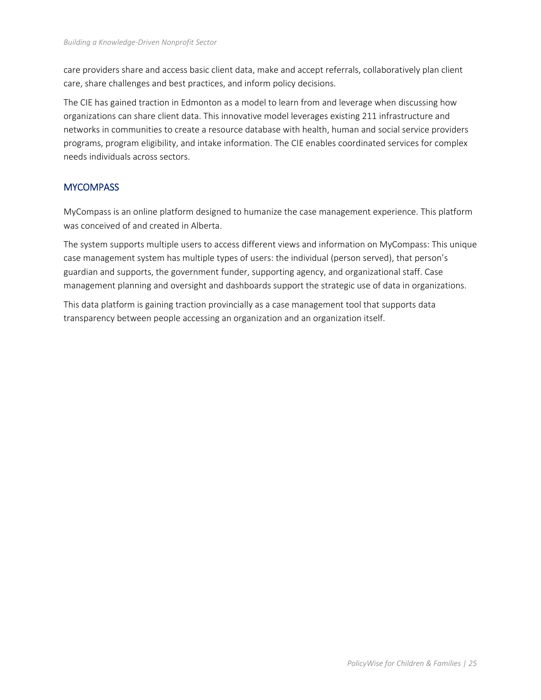care providers share and access basic client data, make and accept referrals, collaboratively plan client care, share challenges and best practices, and inform policy decisions.

The CIE has gained traction in Edmonton as a model to learn from and leverage when discussing how organizations can share client data. This innovative model leverages existing 211 infrastructure and networks in communities to create a resource database with health, human and social service providers programs, program eligibility, and intake information. The CIE enables coordinated services for complex needs individuals across sectors.

#### **MYCOMPASS**

MyCompass is an online platform designed to humanize the case management experience. This platform was conceived of and created in Alberta.

The system supports multiple users to access different views and information on MyCompass: This unique case management system has multiple types of users: the individual (person served), that person's guardian and supports, the government funder, supporting agency, and organizational staff. Case management planning and oversight and dashboards support the strategic use of data in organizations.

This data platform is gaining traction provincially as a case management tool that supports data transparency between people accessing an organization and an organization itself.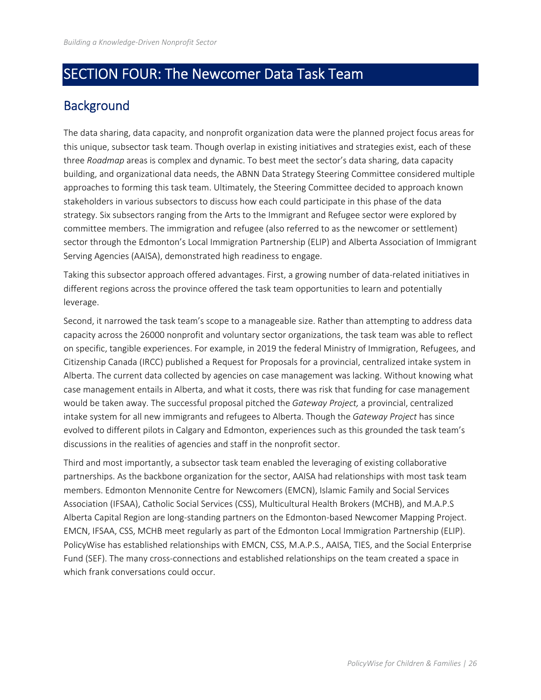## SECTION FOUR: The Newcomer Data Task Team

## **Background**

The data sharing, data capacity, and nonprofit organization data were the planned project focus areas for this unique, subsector task team. Though overlap in existing initiatives and strategies exist, each of these three *Roadmap* areas is complex and dynamic. To best meet the sector's data sharing, data capacity building, and organizational data needs, the ABNN Data Strategy Steering Committee considered multiple approaches to forming this task team. Ultimately, the Steering Committee decided to approach known stakeholders in various subsectors to discuss how each could participate in this phase of the data strategy. Six subsectors ranging from the Arts to the Immigrant and Refugee sector were explored by committee members. The immigration and refugee (also referred to as the newcomer or settlement) sector through the Edmonton's Local Immigration Partnership (ELIP) and Alberta Association of Immigrant Serving Agencies (AAISA), demonstrated high readiness to engage.

Taking this subsector approach offered advantages. First, a growing number of data‐related initiatives in different regions across the province offered the task team opportunities to learn and potentially leverage.

Second, it narrowed the task team's scope to a manageable size. Rather than attempting to address data capacity across the 26000 nonprofit and voluntary sector organizations, the task team was able to reflect on specific, tangible experiences. For example, in 2019 the federal Ministry of Immigration, Refugees, and Citizenship Canada (IRCC) published a Request for Proposals for a provincial, centralized intake system in Alberta. The current data collected by agencies on case management was lacking. Without knowing what case management entails in Alberta, and what it costs, there was risk that funding for case management would be taken away. The successful proposal pitched the *Gateway Project,* a provincial, centralized intake system for all new immigrants and refugees to Alberta. Though the *Gateway Project* has since evolved to different pilots in Calgary and Edmonton, experiences such as this grounded the task team's discussions in the realities of agencies and staff in the nonprofit sector.

Third and most importantly, a subsector task team enabled the leveraging of existing collaborative partnerships. As the backbone organization for the sector, AAISA had relationships with most task team members. Edmonton Mennonite Centre for Newcomers (EMCN), Islamic Family and Social Services Association (IFSAA), Catholic Social Services (CSS), Multicultural Health Brokers (MCHB), and M.A.P.S Alberta Capital Region are long‐standing partners on the Edmonton‐based Newcomer Mapping Project. EMCN, IFSAA, CSS, MCHB meet regularly as part of the Edmonton Local Immigration Partnership (ELIP). PolicyWise has established relationships with EMCN, CSS, M.A.P.S., AAISA, TIES, and the Social Enterprise Fund (SEF). The many cross‐connections and established relationships on the team created a space in which frank conversations could occur.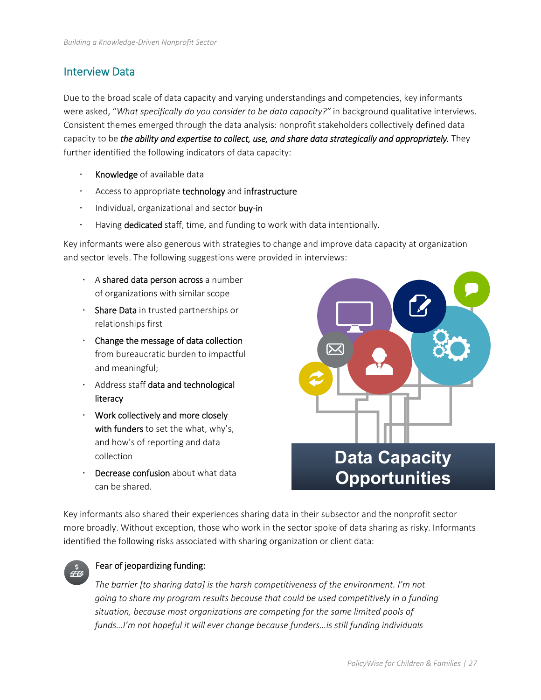### Interview Data

Due to the broad scale of data capacity and varying understandings and competencies, key informants were asked, "*What specifically do you consider to be data capacity?"* in background qualitative interviews. Consistent themes emerged through the data analysis: nonprofit stakeholders collectively defined data capacity to be *the ability and expertise to collect, use, and share data strategically and appropriately.* They further identified the following indicators of data capacity:

- Knowledge of available data
- Access to appropriate technology and infrastructure
- · Individual, organizational and sector buy-in
- Having dedicated staff, time, and funding to work with data intentionally.

Key informants were also generous with strategies to change and improve data capacity at organization and sector levels. The following suggestions were provided in interviews:

- $\cdot$  A shared data person across a number of organizations with similar scope
- . Share Data in trusted partnerships or relationships first
- Change the message of data collection from bureaucratic burden to impactful and meaningful;
- . Address staff data and technological literacy
- $\cdot$  Work collectively and more closely with funders to set the what, why's, and how's of reporting and data collection
- Decrease confusion about what data can be shared.



Key informants also shared their experiences sharing data in their subsector and the nonprofit sector more broadly. Without exception, those who work in the sector spoke of data sharing as risky. Informants identified the following risks associated with sharing organization or client data:



#### Fear of jeopardizing funding:

*The barrier [to sharing data] is the harsh competitiveness of the environment. I'm not going to share my program results because that could be used competitively in a funding situation, because most organizations are competing for the same limited pools of funds…I'm not hopeful it will ever change because funders…is still funding individuals*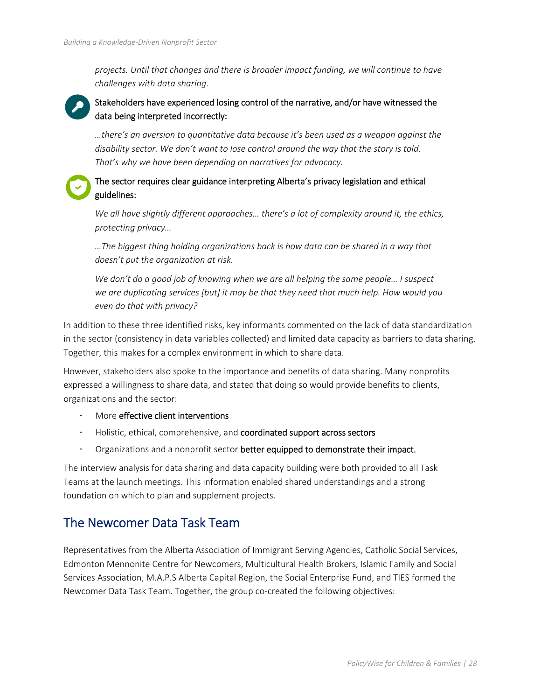*projects. Until that changes and there is broader impact funding, we will continue to have challenges with data sharing.* 

### Stakeholders have experienced losing control of the narrative, and/or have witnessed the data being interpreted incorrectly:

*…there's an aversion to quantitative data because it's been used as a weapon against the disability sector. We don't want to lose control around the way that the story is told. That's why we have been depending on narratives for advocacy.* 

### The sector requires clear guidance interpreting Alberta's privacy legislation and ethical guidelines:

*We all have slightly different approaches… there's a lot of complexity around it, the ethics, protecting privacy…* 

*…The biggest thing holding organizations back is how data can be shared in a way that doesn't put the organization at risk.* 

*We don't do a good job of knowing when we are all helping the same people... I suspect we are duplicating services [but] it may be that they need that much help. How would you even do that with privacy?* 

In addition to these three identified risks, key informants commented on the lack of data standardization in the sector (consistency in data variables collected) and limited data capacity as barriers to data sharing. Together, this makes for a complex environment in which to share data.

However, stakeholders also spoke to the importance and benefits of data sharing. Many nonprofits expressed a willingness to share data, and stated that doing so would provide benefits to clients, organizations and the sector:

- More effective client interventions
- Holistic, ethical, comprehensive, and coordinated support across sectors
- Organizations and a nonprofit sector better equipped to demonstrate their impact.

The interview analysis for data sharing and data capacity building were both provided to all Task Teams at the launch meetings. This information enabled shared understandings and a strong foundation on which to plan and supplement projects.

## The Newcomer Data Task Team

Representatives from the Alberta Association of Immigrant Serving Agencies, Catholic Social Services, Edmonton Mennonite Centre for Newcomers, Multicultural Health Brokers, Islamic Family and Social Services Association, M.A.P.S Alberta Capital Region, the Social Enterprise Fund, and TIES formed the Newcomer Data Task Team. Together, the group co-created the following objectives: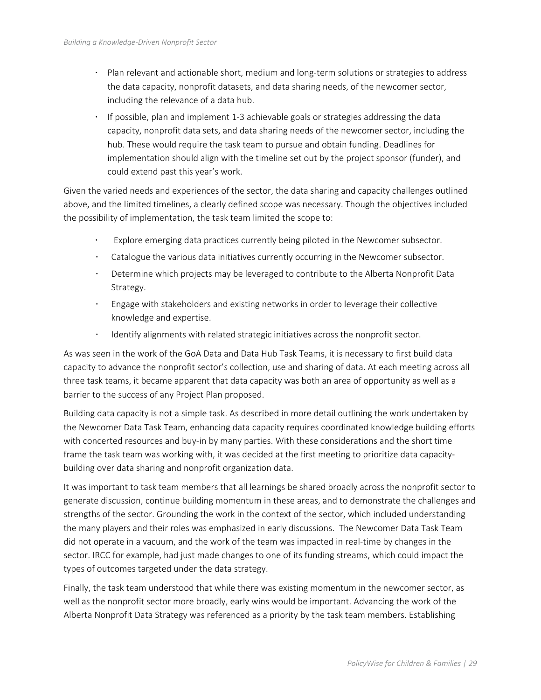- Plan relevant and actionable short, medium and long‐term solutions or strategies to address the data capacity, nonprofit datasets, and data sharing needs, of the newcomer sector, including the relevance of a data hub.
- If possible, plan and implement 1‐3 achievable goals or strategies addressing the data capacity, nonprofit data sets, and data sharing needs of the newcomer sector, including the hub. These would require the task team to pursue and obtain funding. Deadlines for implementation should align with the timeline set out by the project sponsor (funder), and could extend past this year's work.

Given the varied needs and experiences of the sector, the data sharing and capacity challenges outlined above, and the limited timelines, a clearly defined scope was necessary. Though the objectives included the possibility of implementation, the task team limited the scope to:

- Explore emerging data practices currently being piloted in the Newcomer subsector.
- Catalogue the various data initiatives currently occurring in the Newcomer subsector.
- Determine which projects may be leveraged to contribute to the Alberta Nonprofit Data Strategy.
- Engage with stakeholders and existing networks in order to leverage their collective knowledge and expertise.
- $\cdot$  Identify alignments with related strategic initiatives across the nonprofit sector.

As was seen in the work of the GoA Data and Data Hub Task Teams, it is necessary to first build data capacity to advance the nonprofit sector's collection, use and sharing of data. At each meeting across all three task teams, it became apparent that data capacity was both an area of opportunity as well as a barrier to the success of any Project Plan proposed.

Building data capacity is not a simple task. As described in more detail outlining the work undertaken by the Newcomer Data Task Team, enhancing data capacity requires coordinated knowledge building efforts with concerted resources and buy-in by many parties. With these considerations and the short time frame the task team was working with, it was decided at the first meeting to prioritize data capacity‐ building over data sharing and nonprofit organization data.

It was important to task team members that all learnings be shared broadly across the nonprofit sector to generate discussion, continue building momentum in these areas, and to demonstrate the challenges and strengths of the sector. Grounding the work in the context of the sector, which included understanding the many players and their roles was emphasized in early discussions. The Newcomer Data Task Team did not operate in a vacuum, and the work of the team was impacted in real‐time by changes in the sector. IRCC for example, had just made changes to one of its funding streams, which could impact the types of outcomes targeted under the data strategy.

Finally, the task team understood that while there was existing momentum in the newcomer sector, as well as the nonprofit sector more broadly, early wins would be important. Advancing the work of the Alberta Nonprofit Data Strategy was referenced as a priority by the task team members. Establishing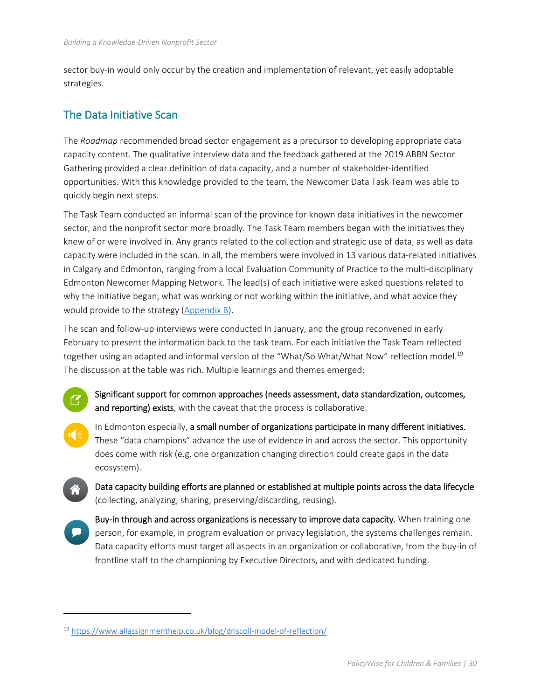sector buy-in would only occur by the creation and implementation of relevant, yet easily adoptable strategies.

### The Data Initiative Scan

The *Roadmap* recommended broad sector engagement as a precursor to developing appropriate data capacity content. The qualitative interview data and the feedback gathered at the 2019 ABBN Sector Gathering provided a clear definition of data capacity, and a number of stakeholder‐identified opportunities. With this knowledge provided to the team, the Newcomer Data Task Team was able to quickly begin next steps.

The Task Team conducted an informal scan of the province for known data initiatives in the newcomer sector, and the nonprofit sector more broadly. The Task Team members began with the initiatives they knew of or were involved in. Any grants related to the collection and strategic use of data, as well as data capacity were included in the scan. In all, the members were involved in 13 various data‐related initiatives in Calgary and Edmonton, ranging from a local Evaluation Community of Practice to the multi‐disciplinary Edmonton Newcomer Mapping Network. The lead(s) of each initiative were asked questions related to why the initiative began, what was working or not working within the initiative, and what advice they would provide to the strategy (Appendix B).

The scan and follow‐up interviews were conducted In January, and the group reconvened in early February to present the information back to the task team. For each initiative the Task Team reflected together using an adapted and informal version of the "What/So What/What Now" reflection model.<sup>19</sup> The discussion at the table was rich. Multiple learnings and themes emerged:

- Significant support for common approaches (needs assessment, data standardization, outcomes, and reporting) exists, with the caveat that the process is collaborative.
- In Edmonton especially, a small number of organizations participate in many different initiatives. These "data champions" advance the use of evidence in and across the sector. This opportunity does come with risk (e.g. one organization changing direction could create gaps in the data ecosystem).

Data capacity building efforts are planned or established at multiple points across the data lifecycle (collecting, analyzing, sharing, preserving/discarding, reusing).

Buy-in through and across organizations is necessary to improve data capacity. When training one person, for example, in program evaluation or privacy legislation, the systems challenges remain. Data capacity efforts must target all aspects in an organization or collaborative, from the buy‐in of frontline staff to the championing by Executive Directors, and with dedicated funding.

<sup>19</sup> https://www.allassignmenthelp.co.uk/blog/driscoll‐model‐of‐reflection/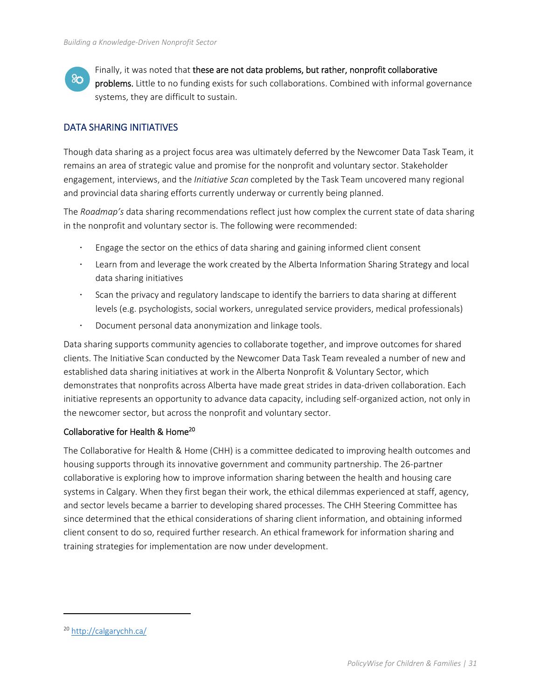$80^{\circ}$ 

Finally, it was noted that these are not data problems, but rather, nonprofit collaborative problems. Little to no funding exists for such collaborations. Combined with informal governance systems, they are difficult to sustain.

#### DATA SHARING INITIATIVES

Though data sharing as a project focus area was ultimately deferred by the Newcomer Data Task Team, it remains an area of strategic value and promise for the nonprofit and voluntary sector. Stakeholder engagement, interviews, and the *Initiative Scan* completed by the Task Team uncovered many regional and provincial data sharing efforts currently underway or currently being planned.

The *Roadmap's* data sharing recommendations reflect just how complex the current state of data sharing in the nonprofit and voluntary sector is. The following were recommended:

- Engage the sector on the ethics of data sharing and gaining informed client consent
- Learn from and leverage the work created by the Alberta Information Sharing Strategy and local data sharing initiatives
- $\cdot$  Scan the privacy and regulatory landscape to identify the barriers to data sharing at different levels (e.g. psychologists, social workers, unregulated service providers, medical professionals)
- Document personal data anonymization and linkage tools.

Data sharing supports community agencies to collaborate together, and improve outcomes for shared clients. The Initiative Scan conducted by the Newcomer Data Task Team revealed a number of new and established data sharing initiatives at work in the Alberta Nonprofit & Voluntary Sector, which demonstrates that nonprofits across Alberta have made great strides in data-driven collaboration. Each initiative represents an opportunity to advance data capacity, including self‐organized action, not only in the newcomer sector, but across the nonprofit and voluntary sector.

#### Collaborative for Health & Home20

The Collaborative for Health & Home (CHH) is a committee dedicated to improving health outcomes and housing supports through its innovative government and community partnership. The 26‐partner collaborative is exploring how to improve information sharing between the health and housing care systems in Calgary. When they first began their work, the ethical dilemmas experienced at staff, agency, and sector levels became a barrier to developing shared processes. The CHH Steering Committee has since determined that the ethical considerations of sharing client information, and obtaining informed client consent to do so, required further research. An ethical framework for information sharing and training strategies for implementation are now under development.

<sup>20</sup> http://calgarychh.ca/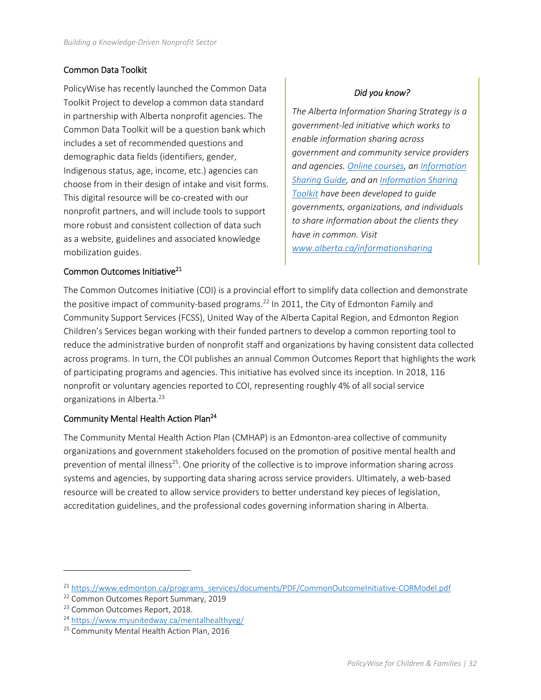#### Common Data Toolkit

PolicyWise has recently launched the Common Data Toolkit Project to develop a common data standard in partnership with Alberta nonprofit agencies. The Common Data Toolkit will be a question bank which includes a set of recommended questions and demographic data fields (identifiers, gender, Indigenous status, age, income, etc.) agencies can choose from in their design of intake and visit forms. This digital resource will be co-created with our nonprofit partners, and will include tools to support more robust and consistent collection of data such as a website, guidelines and associated knowledge mobilization guides.

#### *Did you know?*

*The Alberta Information Sharing Strategy is a government‐led initiative which works to enable information sharing across government and community service providers and agencies. Online courses, an Information Sharing Guide, and an Information Sharing Toolkit have been developed to guide governments, organizations, and individuals to share information about the clients they have in common. Visit www.alberta.ca/informationsharing* 

#### Common Outcomes Initiative<sup>21</sup>

The Common Outcomes Initiative (COI) is a provincial effort to simplify data collection and demonstrate the positive impact of community-based programs.<sup>22</sup> In 2011, the City of Edmonton Family and Community Support Services (FCSS), United Way of the Alberta Capital Region, and Edmonton Region Children's Services began working with their funded partners to develop a common reporting tool to reduce the administrative burden of nonprofit staff and organizations by having consistent data collected across programs. In turn, the COI publishes an annual Common Outcomes Report that highlights the work of participating programs and agencies. This initiative has evolved since its inception. In 2018, 116 nonprofit or voluntary agencies reported to COI, representing roughly 4% of all social service organizations in Alberta.<sup>23</sup>

#### Community Mental Health Action Plan24

The Community Mental Health Action Plan (CMHAP) is an Edmonton‐area collective of community organizations and government stakeholders focused on the promotion of positive mental health and prevention of mental illness<sup>25</sup>. One priority of the collective is to improve information sharing across systems and agencies, by supporting data sharing across service providers. Ultimately, a web-based resource will be created to allow service providers to better understand key pieces of legislation, accreditation guidelines, and the professional codes governing information sharing in Alberta.

<sup>&</sup>lt;sup>21</sup> https://www.edmonton.ca/programs\_services/documents/PDF/CommonOutcomeInitiative‐CORModel.pdf

<sup>&</sup>lt;sup>22</sup> Common Outcomes Report Summary, 2019

<sup>23</sup> Common Outcomes Report, 2018.

<sup>24</sup> https://www.myunitedway.ca/mentalhealthyeg/

<sup>&</sup>lt;sup>25</sup> Community Mental Health Action Plan, 2016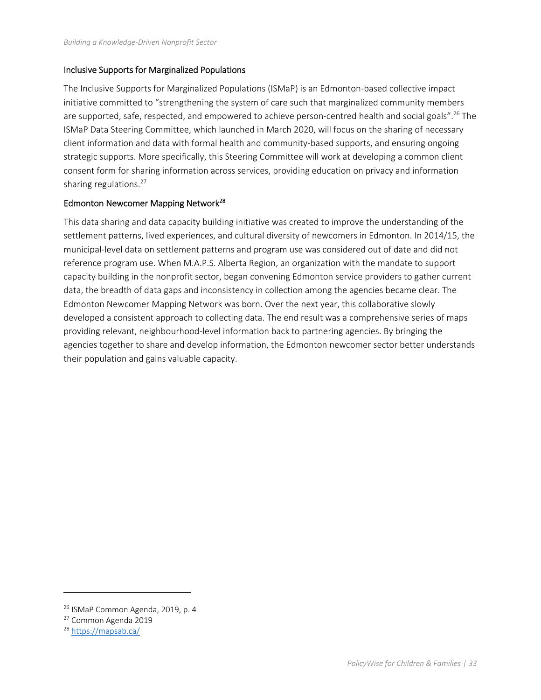#### Inclusive Supports for Marginalized Populations

The Inclusive Supports for Marginalized Populations (ISMaP) is an Edmonton‐based collective impact initiative committed to "strengthening the system of care such that marginalized community members are supported, safe, respected, and empowered to achieve person-centred health and social goals".<sup>26</sup> The ISMaP Data Steering Committee, which launched in March 2020, will focus on the sharing of necessary client information and data with formal health and community‐based supports, and ensuring ongoing strategic supports. More specifically, this Steering Committee will work at developing a common client consent form for sharing information across services, providing education on privacy and information sharing regulations.<sup>27</sup>

#### Edmonton Newcomer Mapping Network<sup>28</sup>

This data sharing and data capacity building initiative was created to improve the understanding of the settlement patterns, lived experiences, and cultural diversity of newcomers in Edmonton. In 2014/15, the municipal‐level data on settlement patterns and program use was considered out of date and did not reference program use. When M.A.P.S. Alberta Region, an organization with the mandate to support capacity building in the nonprofit sector, began convening Edmonton service providers to gather current data, the breadth of data gaps and inconsistency in collection among the agencies became clear. The Edmonton Newcomer Mapping Network was born. Over the next year, this collaborative slowly developed a consistent approach to collecting data. The end result was a comprehensive series of maps providing relevant, neighbourhood‐level information back to partnering agencies. By bringing the agencies together to share and develop information, the Edmonton newcomer sector better understands their population and gains valuable capacity.

<sup>26</sup> ISMaP Common Agenda, 2019, p. 4

<sup>27</sup> Common Agenda 2019

<sup>28</sup> https://mapsab.ca/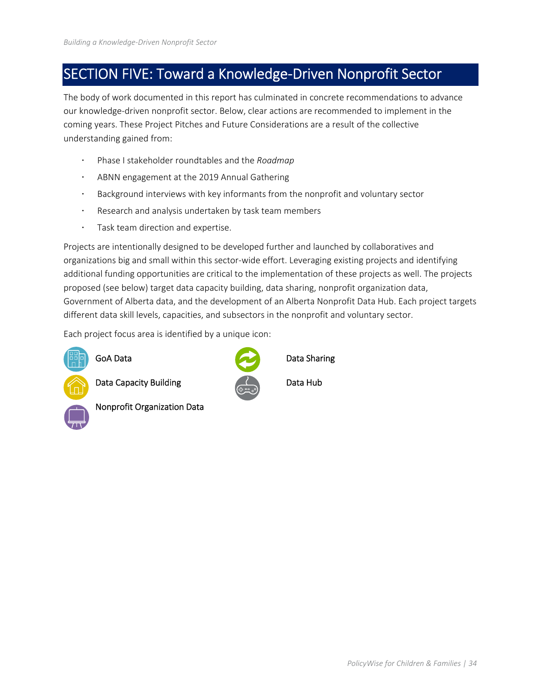## SECTION FIVE: Toward a Knowledge‐Driven Nonprofit Sector

The body of work documented in this report has culminated in concrete recommendations to advance our knowledge‐driven nonprofit sector. Below, clear actions are recommended to implement in the coming years. These Project Pitches and Future Considerations are a result of the collective understanding gained from:

- Phase I stakeholder roundtables and the *Roadmap*
- ABNN engagement at the 2019 Annual Gathering
- Background interviews with key informants from the nonprofit and voluntary sector
- Research and analysis undertaken by task team members
- Task team direction and expertise.

Projects are intentionally designed to be developed further and launched by collaboratives and organizations big and small within this sector-wide effort. Leveraging existing projects and identifying additional funding opportunities are critical to the implementation of these projects as well. The projects proposed (see below) target data capacity building, data sharing, nonprofit organization data, Government of Alberta data, and the development of an Alberta Nonprofit Data Hub. Each project targets different data skill levels, capacities, and subsectors in the nonprofit and voluntary sector.

Each project focus area is identified by a unique icon:



Data Capacity Building **Data Hub** 





Nonprofit Organization Data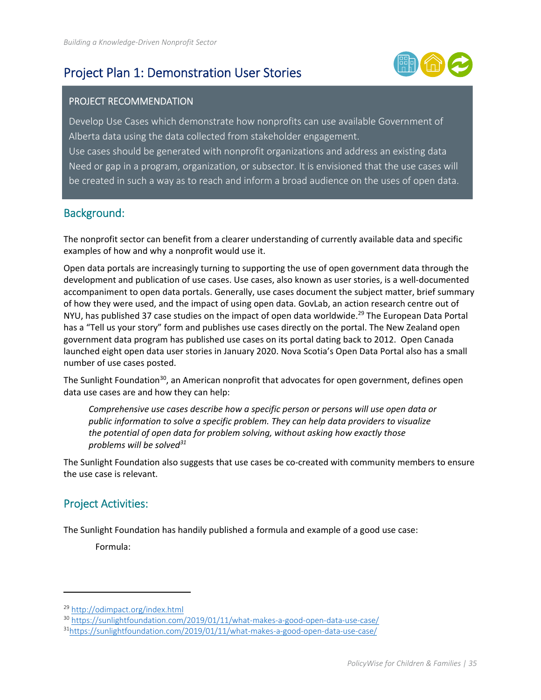## Project Plan 1: Demonstration User Stories



### PROJECT RECOMMENDATION

Develop Use Cases which demonstrate how nonprofits can use available Government of Alberta data using the data collected from stakeholder engagement. Use cases should be generated with nonprofit organizations and address an existing data Need or gap in a program, organization, or subsector. It is envisioned that the use cases will be created in such a way as to reach and inform a broad audience on the uses of open data.

### Background:

The nonprofit sector can benefit from a clearer understanding of currently available data and specific examples of how and why a nonprofit would use it.

Open data portals are increasingly turning to supporting the use of open government data through the development and publication of use cases. Use cases, also known as user stories, is a well‐documented accompaniment to open data portals. Generally, use cases document the subject matter, brief summary of how they were used, and the impact of using open data. GovLab, an action research centre out of NYU, has published 37 case studies on the impact of open data worldwide.<sup>29</sup> The European Data Portal has a "Tell us your story" form and publishes use cases directly on the portal. The New Zealand open government data program has published use cases on its portal dating back to 2012. Open Canada launched eight open data user stories in January 2020. Nova Scotia's Open Data Portal also has a small number of use cases posted.

The Sunlight Foundation<sup>30</sup>, an American nonprofit that advocates for open government, defines open data use cases are and how they can help:

*Comprehensive use cases describe how a specific person or persons will use open data or public information to solve a specific problem. They can help data providers to visualize the potential of open data for problem solving, without asking how exactly those problems will be solved31*

The Sunlight Foundation also suggests that use cases be co-created with community members to ensure the use case is relevant.

## Project Activities:

The Sunlight Foundation has handily published a formula and example of a good use case:

Formula:

<sup>29</sup> http://odimpact.org/index.html

<sup>&</sup>lt;sup>30</sup> https://sunlightfoundation.com/2019/01/11/what-makes-a-good-open-data-use-case/

<sup>31</sup>https://sunlightfoundation.com/2019/01/11/what-makes-a-good-open-data-use-case/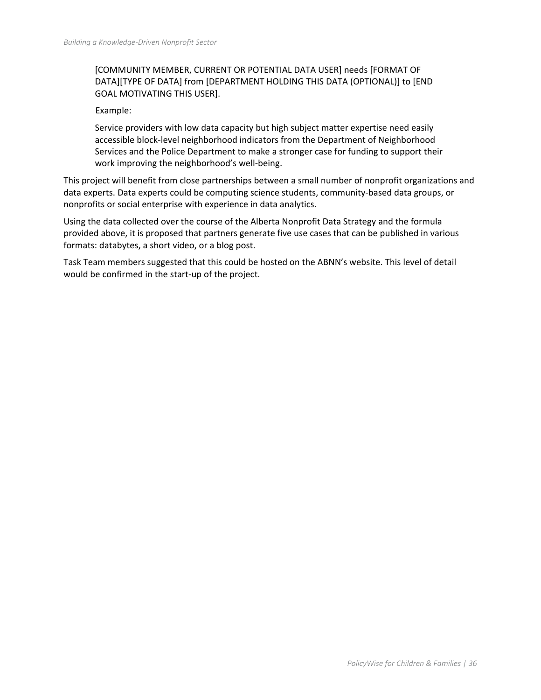#### [COMMUNITY MEMBER, CURRENT OR POTENTIAL DATA USER] needs [FORMAT OF DATA][TYPE OF DATA] from [DEPARTMENT HOLDING THIS DATA (OPTIONAL)] to [END GOAL MOTIVATING THIS USER].

Example:

Service providers with low data capacity but high subject matter expertise need easily accessible block‐level neighborhood indicators from the Department of Neighborhood Services and the Police Department to make a stronger case for funding to support their work improving the neighborhood's well-being.

This project will benefit from close partnerships between a small number of nonprofit organizations and data experts. Data experts could be computing science students, community‐based data groups, or nonprofits or social enterprise with experience in data analytics.

Using the data collected over the course of the Alberta Nonprofit Data Strategy and the formula provided above, it is proposed that partners generate five use cases that can be published in various formats: databytes, a short video, or a blog post.

Task Team members suggested that this could be hosted on the ABNN's website. This level of detail would be confirmed in the start‐up of the project.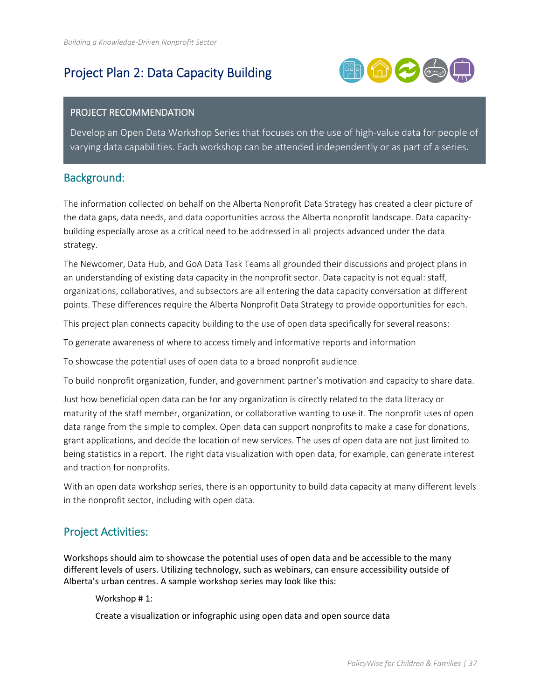## Project Plan 2: Data Capacity Building



#### PROJECT RECOMMENDATION

Develop an Open Data Workshop Series that focuses on the use of high-value data for people of varying data capabilities. Each workshop can be attended independently or as part of a series.

#### Background:

The information collected on behalf on the Alberta Nonprofit Data Strategy has created a clear picture of the data gaps, data needs, and data opportunities across the Alberta nonprofit landscape. Data capacity‐ building especially arose as a critical need to be addressed in all projects advanced under the data strategy.

The Newcomer, Data Hub, and GoA Data Task Teams all grounded their discussions and project plans in an understanding of existing data capacity in the nonprofit sector. Data capacity is not equal: staff, organizations, collaboratives, and subsectors are all entering the data capacity conversation at different points. These differences require the Alberta Nonprofit Data Strategy to provide opportunities for each.

This project plan connects capacity building to the use of open data specifically for several reasons:

To generate awareness of where to access timely and informative reports and information

To showcase the potential uses of open data to a broad nonprofit audience

To build nonprofit organization, funder, and government partner's motivation and capacity to share data.

Just how beneficial open data can be for any organization is directly related to the data literacy or maturity of the staff member, organization, or collaborative wanting to use it. The nonprofit uses of open data range from the simple to complex. Open data can support nonprofits to make a case for donations, grant applications, and decide the location of new services. The uses of open data are not just limited to being statistics in a report. The right data visualization with open data, for example, can generate interest and traction for nonprofits.

With an open data workshop series, there is an opportunity to build data capacity at many different levels in the nonprofit sector, including with open data.

### Project Activities:

Workshops should aim to showcase the potential uses of open data and be accessible to the many different levels of users. Utilizing technology, such as webinars, can ensure accessibility outside of Alberta's urban centres. A sample workshop series may look like this:

Workshop # 1:

Create a visualization or infographic using open data and open source data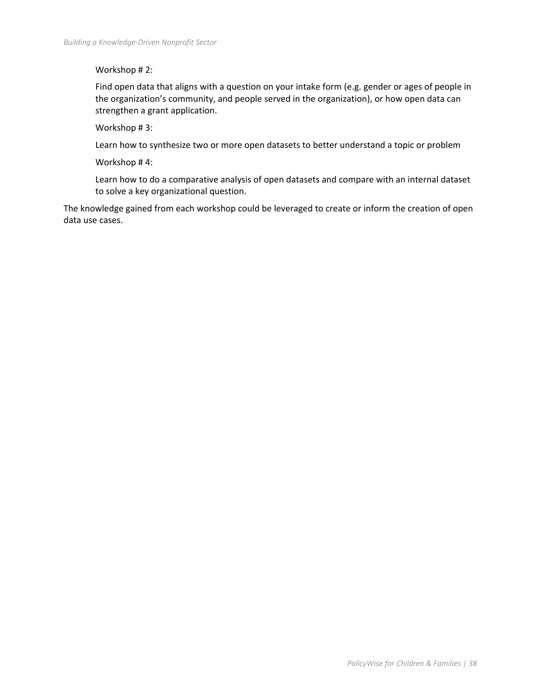#### Workshop # 2:

Find open data that aligns with a question on your intake form (e.g. gender or ages of people in the organization's community, and people served in the organization), or how open data can strengthen a grant application.

Workshop # 3:

Learn how to synthesize two or more open datasets to better understand a topic or problem

Workshop # 4:

Learn how to do a comparative analysis of open datasets and compare with an internal dataset to solve a key organizational question.

The knowledge gained from each workshop could be leveraged to create or inform the creation of open data use cases.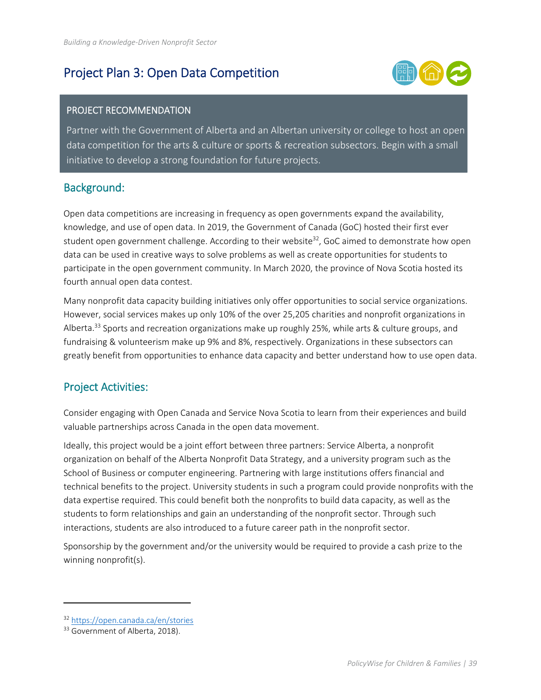## Project Plan 3: Open Data Competition



#### PROJECT RECOMMENDATION

Partner with the Government of Alberta and an Albertan university or college to host an open data competition for the arts & culture or sports & recreation subsectors. Begin with a small initiative to develop a strong foundation for future projects.

### Background:

Open data competitions are increasing in frequency as open governments expand the availability, knowledge, and use of open data. In 2019, the Government of Canada (GoC) hosted their first ever student open government challenge. According to their website $32$ , GoC aimed to demonstrate how open data can be used in creative ways to solve problems as well as create opportunities for students to participate in the open government community. In March 2020, the province of Nova Scotia hosted its fourth annual open data contest.

Many nonprofit data capacity building initiatives only offer opportunities to social service organizations. However, social services makes up only 10% of the over 25,205 charities and nonprofit organizations in Alberta.<sup>33</sup> Sports and recreation organizations make up roughly 25%, while arts & culture groups, and fundraising & volunteerism make up 9% and 8%, respectively. Organizations in these subsectors can greatly benefit from opportunities to enhance data capacity and better understand how to use open data.

### Project Activities:

Consider engaging with Open Canada and Service Nova Scotia to learn from their experiences and build valuable partnerships across Canada in the open data movement.

Ideally, this project would be a joint effort between three partners: Service Alberta, a nonprofit organization on behalf of the Alberta Nonprofit Data Strategy, and a university program such as the School of Business or computer engineering. Partnering with large institutions offers financial and technical benefits to the project. University students in such a program could provide nonprofits with the data expertise required. This could benefit both the nonprofits to build data capacity, as well as the students to form relationships and gain an understanding of the nonprofit sector. Through such interactions, students are also introduced to a future career path in the nonprofit sector.

Sponsorship by the government and/or the university would be required to provide a cash prize to the winning nonprofit(s).

 <sup>32</sup> https://open.canada.ca/en/stories

<sup>&</sup>lt;sup>33</sup> Government of Alberta, 2018).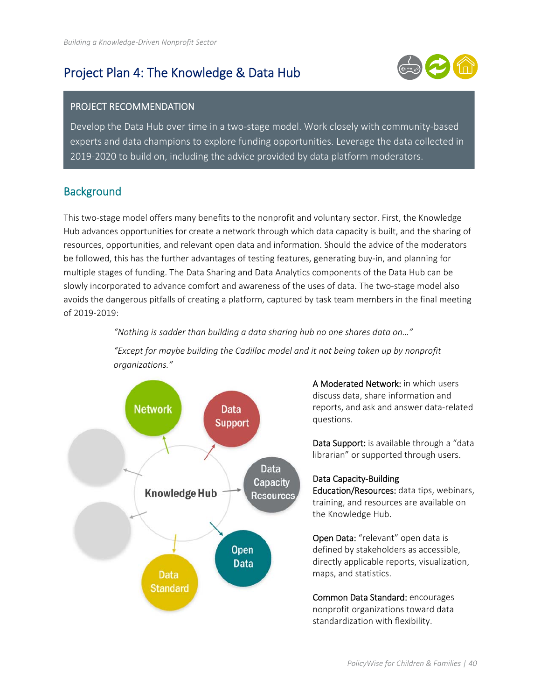## Project Plan 4: The Knowledge & Data Hub



#### PROJECT RECOMMENDATION

Key informant interview data, the environmental scan, task team research and moderator interviews fed Develop the Data Hub over time in a two-stage model. Work closely with community-based<br>- سود المساحة experts and data champions to explore funding opportunities. Leverage the data collected in 2019‐2020 to build on, including the advice provided by data platform moderators.

### **Background**

This two‐stage model offers many benefits to the nonprofit and voluntary sector. First, the Knowledge Hub advances opportunities for create a network through which data capacity is built, and the sharing of resources, opportunities, and relevant open data and information. Should the advice of the moderators be followed, this has the further advantages of testing features, generating buy-in, and planning for multiple stages of funding. The Data Sharing and Data Analytics components of the Data Hub can be slowly incorporated to advance comfort and awareness of the uses of data. The two-stage model also avoids the dangerous pitfalls of creating a platform, captured by task team members in the final meeting of 2019‐2019:

*"Nothing is sadder than building a data sharing hub no one shares data on…"* 

*"Except for maybe building the Cadillac model and it not being taken up by nonprofit organizations."* 



A Moderated Network: in which users discuss data, share information and reports, and ask and answer data‐related questions.

Data Support: is available through a "data" librarian" or supported through users.

#### Data Capacity‐Building

Education/Resources: data tips, webinars, training, and resources are available on the Knowledge Hub.

Open Data: "relevant" open data is defined by stakeholders as accessible, directly applicable reports, visualization, maps, and statistics.

Common Data Standard: encourages nonprofit organizations toward data standardization with flexibility.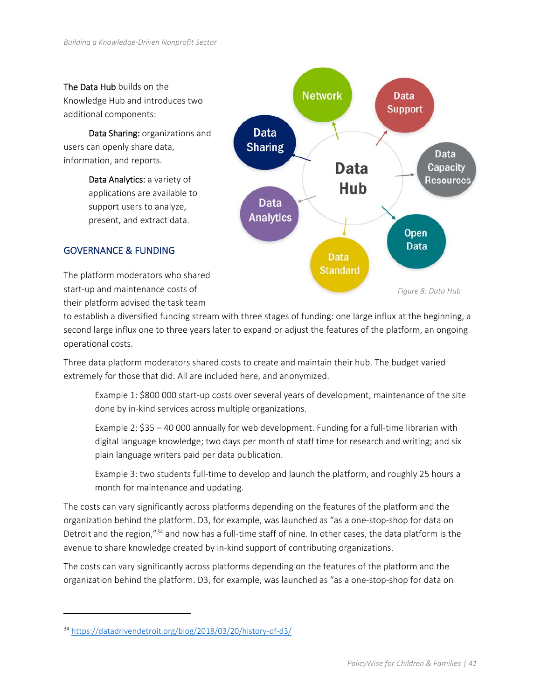#### The Data Hub builds on the

Knowledge Hub and introduces two additional components:

 Data Sharing: organizations and users can openly share data, information, and reports.

> Data Analytics: a variety of applications are available to support users to analyze, present, and extract data.



#### GOVERNANCE & FUNDING

The platform moderators who shared start‐up and maintenance costs of their platform advised the task team

to establish a diversified funding stream with three stages of funding: one large influx at the beginning, a second large influx one to three years later to expand or adjust the features of the platform, an ongoing operational costs.

Three data platform moderators shared costs to create and maintain their hub. The budget varied extremely for those that did. All are included here, and anonymized.

Example 1: \$800 000 start-up costs over several years of development, maintenance of the site done by in‐kind services across multiple organizations.

Example 2: \$35 – 40 000 annually for web development. Funding for a full‐time librarian with digital language knowledge; two days per month of staff time for research and writing; and six plain language writers paid per data publication.

Example 3: two students full-time to develop and launch the platform, and roughly 25 hours a month for maintenance and updating.

The costs can vary significantly across platforms depending on the features of the platform and the organization behind the platform. D3, for example, was launched as "as a one‐stop‐shop for data on Detroit and the region,"34 and now has a full‐time staff of nine*.* In other cases, the data platform is the avenue to share knowledge created by in‐kind support of contributing organizations.

The costs can vary significantly across platforms depending on the features of the platform and the organization behind the platform. D3, for example, was launched as "as a one‐stop‐shop for data on

<sup>34</sup> https://datadrivendetroit.org/blog/2018/03/20/history‐of‐d3/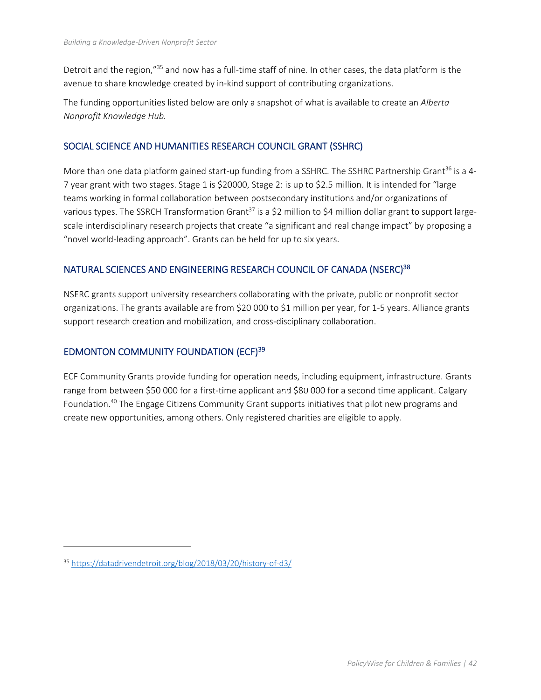Detroit and the region,"35 and now has a full‐time staff of nine*.* In other cases, the data platform is the avenue to share knowledge created by in‐kind support of contributing organizations.

The funding opportunities listed below are only a snapshot of what is available to create an *Alberta Nonprofit Knowledge Hub.* 

#### SOCIAL SCIENCE AND HUMANITIES RESEARCH COUNCIL GRANT (SSHRC)

More than one data platform gained start-up funding from a SSHRC. The SSHRC Partnership Grant<sup>36</sup> is a 4-7 year grant with two stages. Stage 1 is \$20000, Stage 2: is up to \$2.5 million. It is intended for "large teams working in formal collaboration between postsecondary institutions and/or organizations of various types. The SSRCH Transformation Grant<sup>37</sup> is a \$2 million to \$4 million dollar grant to support largescale interdisciplinary research projects that create "a significant and real change impact" by proposing a "novel world‐leading approach". Grants can be held for up to six years.

#### NATURAL SCIENCES AND ENGINEERING RESEARCH COUNCIL OF CANADA (NSERC)<sup>38</sup>

NSERC grants support university researchers collaborating with the private, public or nonprofit sector organizations. The grants available are from \$20 000 to \$1 million per year, for 1‐5 years. Alliance grants support research creation and mobilization, and cross-disciplinary collaboration.

#### EDMONTON COMMUNITY FOUNDATION (ECF)39

ECF Community Grants provide funding for operation needs, including equipment, infrastructure. Grants range from between \$50 000 for a first‐time applicant and \$80 000 for a second time applicant. Calgary Foundation.40 The Engage Citizens Community Grant supports initiatives that pilot new programs and create new opportunities, among others. Only registered charities are eligible to apply.

<sup>35</sup> https://datadrivendetroit.org/blog/2018/03/20/history‐of‐d3/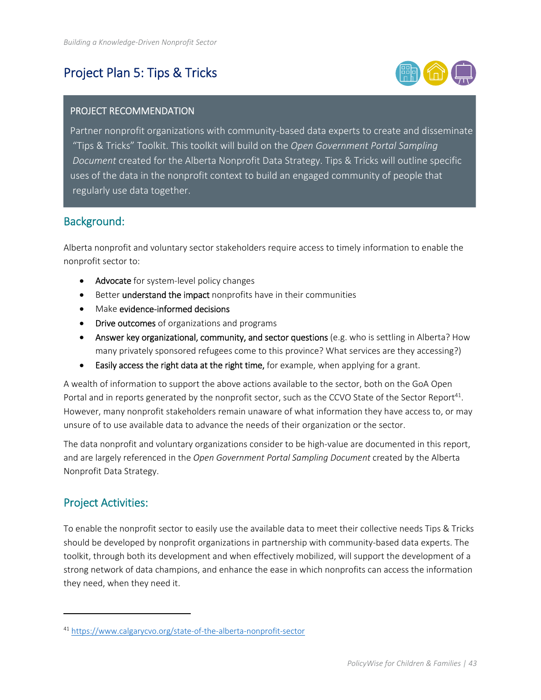## Project Plan 5: Tips & Tricks



#### PROJECT RECOMMENDATION

Partner nonprofit organizations with community‐based data experts to create and disseminate "Tips & Tricks" Toolkit. This toolkit will build on the *Open Government Portal Sampling Document* created for the Alberta Nonprofit Data Strategy. Tips & Tricks will outline specific uses of the data in the nonprofit context to build an engaged community of people that regularly use data together.

#### Background:

Alberta nonprofit and voluntary sector stakeholders require access to timely information to enable the nonprofit sector to:

- Advocate for system-level policy changes
- **•** Better understand the impact nonprofits have in their communities
- Make evidence-informed decisions
- Drive outcomes of organizations and programs
- Answer key organizational, community, and sector questions (e.g. who is settling in Alberta? How many privately sponsored refugees come to this province? What services are they accessing?)
- **Easily access the right data at the right time,** for example, when applying for a grant.

A wealth of information to support the above actions available to the sector, both on the GoA Open Portal and in reports generated by the nonprofit sector, such as the CCVO State of the Sector Report<sup>41</sup>. However, many nonprofit stakeholders remain unaware of what information they have access to, or may unsure of to use available data to advance the needs of their organization or the sector.

The data nonprofit and voluntary organizations consider to be high-value are documented in this report, and are largely referenced in the *Open Government Portal Sampling Document* created by the Alberta Nonprofit Data Strategy.

### Project Activities:

To enable the nonprofit sector to easily use the available data to meet their collective needs Tips & Tricks should be developed by nonprofit organizations in partnership with community-based data experts. The toolkit, through both its development and when effectively mobilized, will support the development of a strong network of data champions, and enhance the ease in which nonprofits can access the information they need, when they need it.

<sup>41</sup> https://www.calgarycvo.org/state‐of‐the‐alberta‐nonprofit‐sector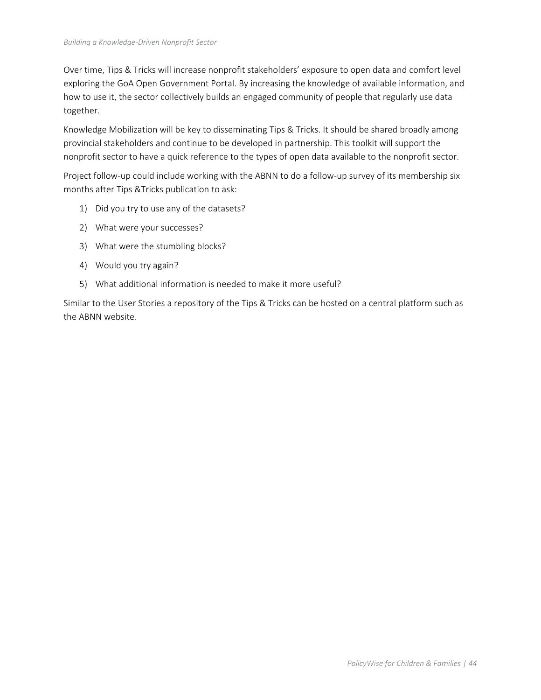Over time, Tips & Tricks will increase nonprofit stakeholders' exposure to open data and comfort level exploring the GoA Open Government Portal. By increasing the knowledge of available information, and how to use it, the sector collectively builds an engaged community of people that regularly use data together.

Knowledge Mobilization will be key to disseminating Tips & Tricks. It should be shared broadly among provincial stakeholders and continue to be developed in partnership. This toolkit will support the nonprofit sector to have a quick reference to the types of open data available to the nonprofit sector.

Project follow-up could include working with the ABNN to do a follow-up survey of its membership six months after Tips &Tricks publication to ask:

- 1) Did you try to use any of the datasets?
- 2) What were your successes?
- 3) What were the stumbling blocks?
- 4) Would you try again?
- 5) What additional information is needed to make it more useful?

Similar to the User Stories a repository of the Tips & Tricks can be hosted on a central platform such as the ABNN website.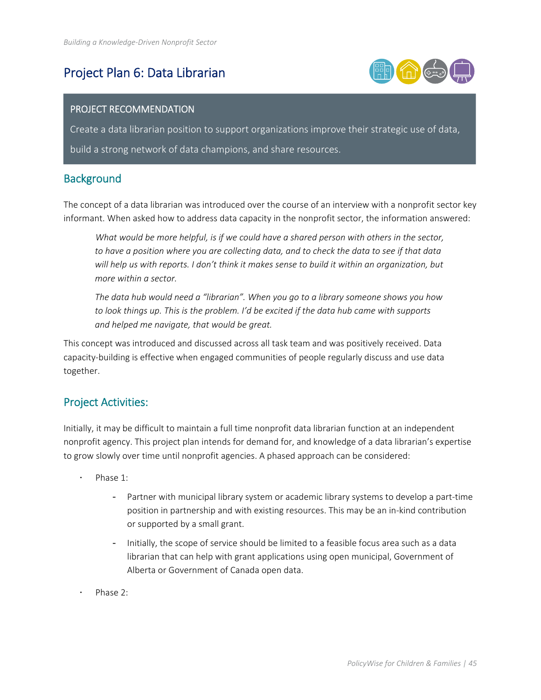## Project Plan 6: Data Librarian



#### PROJECT RECOMMENDATION

Create a data librarian position to support organizations improve their strategic use of data, build a strong network of data champions, and share resources.

### **Background**

The concept of a data librarian was introduced over the course of an interview with a nonprofit sector key informant. When asked how to address data capacity in the nonprofit sector, the information answered:

What would be more helpful, is if we could have a shared person with others in the sector, *to have a position where you are collecting data, and to check the data to see if that data will help us with reports. I don't think it makes sense to build it within an organization, but more within a sector.* 

*The data hub would need a "librarian". When you go to a library someone shows you how to look things up. This is the problem. I'd be excited if the data hub came with supports and helped me navigate, that would be great.* 

This concept was introduced and discussed across all task team and was positively received. Data capacity‐building is effective when engaged communities of people regularly discuss and use data together.

### Project Activities:

Initially, it may be difficult to maintain a full time nonprofit data librarian function at an independent nonprofit agency. This project plan intends for demand for, and knowledge of a data librarian's expertise to grow slowly over time until nonprofit agencies. A phased approach can be considered:

- Phase 1:
	- Partner with municipal library system or academic library systems to develop a part‐time position in partnership and with existing resources. This may be an in‐kind contribution or supported by a small grant.
	- Initially, the scope of service should be limited to a feasible focus area such as a data librarian that can help with grant applications using open municipal, Government of Alberta or Government of Canada open data.
- Phase 2: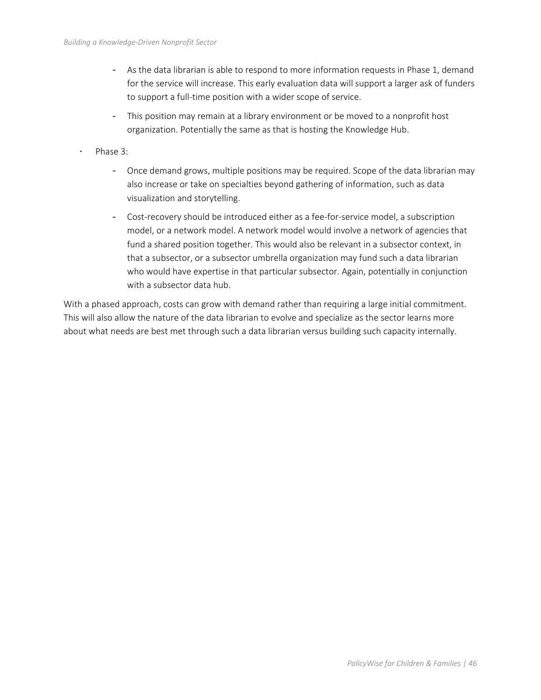- As the data librarian is able to respond to more information requests in Phase 1, demand for the service will increase. This early evaluation data will support a larger ask of funders to support a full-time position with a wider scope of service.
- This position may remain at a library environment or be moved to a nonprofit host organization. Potentially the same as that is hosting the Knowledge Hub.
- Phase 3:
	- Once demand grows, multiple positions may be required. Scope of the data librarian may also increase or take on specialties beyond gathering of information, such as data visualization and storytelling.
	- Cost-recovery should be introduced either as a fee-for-service model, a subscription model, or a network model. A network model would involve a network of agencies that fund a shared position together. This would also be relevant in a subsector context, in that a subsector, or a subsector umbrella organization may fund such a data librarian who would have expertise in that particular subsector. Again, potentially in conjunction with a subsector data hub.

With a phased approach, costs can grow with demand rather than requiring a large initial commitment. This will also allow the nature of the data librarian to evolve and specialize as the sector learns more about what needs are best met through such a data librarian versus building such capacity internally.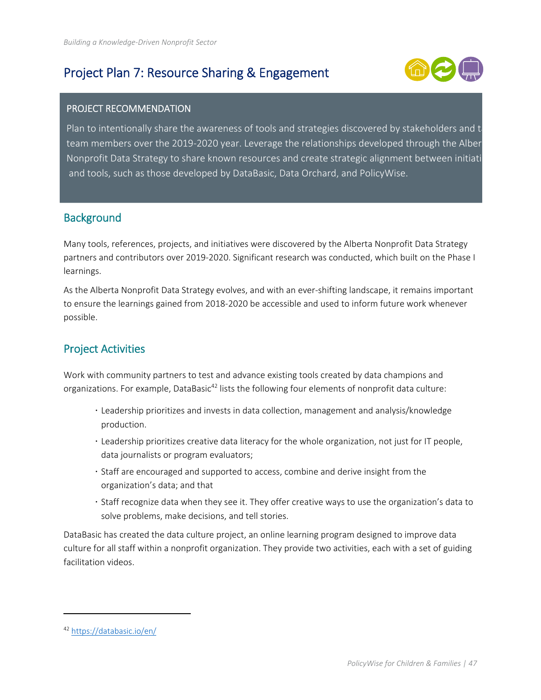## Project Plan 7: Resource Sharing & Engagement



#### PROJECT RECOMMENDATION

Plan to intentionally share the awareness of tools and strategies discovered by stakeholders and ta team members over the 2019‐2020 year. Leverage the relationships developed through the Alber Nonprofit Data Strategy to share known resources and create strategic alignment between initiati and tools, such as those developed by DataBasic, Data Orchard, and PolicyWise.

### **Background**

Many tools, references, projects, and initiatives were discovered by the Alberta Nonprofit Data Strategy partners and contributors over 2019‐2020. Significant research was conducted, which built on the Phase I learnings.

As the Alberta Nonprofit Data Strategy evolves, and with an ever-shifting landscape, it remains important to ensure the learnings gained from 2018‐2020 be accessible and used to inform future work whenever possible.

### Project Activities

Work with community partners to test and advance existing tools created by data champions and organizations. For example, DataBasic<sup>42</sup> lists the following four elements of nonprofit data culture:

- Leadership prioritizes and invests in data collection, management and analysis/knowledge production.
- Leadership prioritizes creative data literacy for the whole organization, not just for IT people, data journalists or program evaluators;
- Staff are encouraged and supported to access, combine and derive insight from the organization's data; and that
- Staff recognize data when they see it. They offer creative ways to use the organization's data to solve problems, make decisions, and tell stories.

DataBasic has created the data culture project, an online learning program designed to improve data culture for all staff within a nonprofit organization. They provide two activities, each with a set of guiding facilitation videos.

<sup>42</sup> https://databasic.io/en/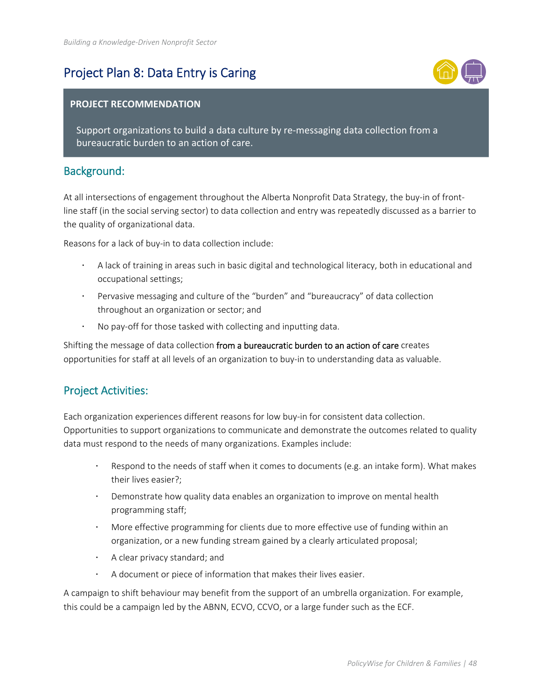## Project Plan 8: Data Entry is Caring



#### **PROJECT RECOMMENDATION**

Support organizations to build a data culture by re‐messaging data collection from a bureaucratic burden to an action of care.

### Background:

At all intersections of engagement throughout the Alberta Nonprofit Data Strategy, the buy-in of frontline staff (in the social serving sector) to data collection and entry was repeatedly discussed as a barrier to the quality of organizational data.

Reasons for a lack of buy‐in to data collection include:

- A lack of training in areas such in basic digital and technological literacy, both in educational and occupational settings;
- Pervasive messaging and culture of the "burden" and "bureaucracy" of data collection throughout an organization or sector; and
- No pay‐off for those tasked with collecting and inputting data.

Shifting the message of data collection from a bureaucratic burden to an action of care creates opportunities for staff at all levels of an organization to buy‐in to understanding data as valuable.

### Project Activities:

Each organization experiences different reasons for low buy‐in for consistent data collection. Opportunities to support organizations to communicate and demonstrate the outcomes related to quality data must respond to the needs of many organizations. Examples include:

- Respond to the needs of staff when it comes to documents (e.g. an intake form). What makes their lives easier?;
- Demonstrate how quality data enables an organization to improve on mental health programming staff;
- More effective programming for clients due to more effective use of funding within an organization, or a new funding stream gained by a clearly articulated proposal;
- $\cdot$  A clear privacy standard; and
- A document or piece of information that makes their lives easier.

A campaign to shift behaviour may benefit from the support of an umbrella organization. For example, this could be a campaign led by the ABNN, ECVO, CCVO, or a large funder such as the ECF.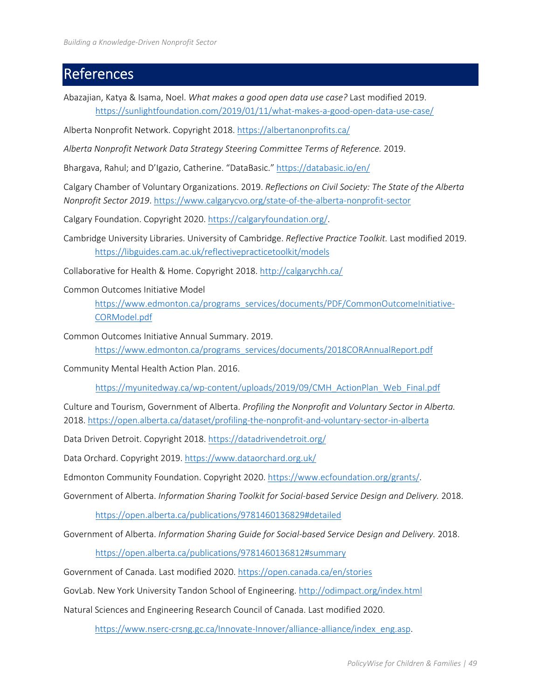## References

Abazajian, Katya & Isama, Noel. *What makes a good open data use case?* Last modified 2019. https://sunlightfoundation.com/2019/01/11/what-makes-a-good-open-data-use-case/

Alberta Nonprofit Network. Copyright 2018. https://albertanonprofits.ca/

*Alberta Nonprofit Network Data Strategy Steering Committee Terms of Reference.* 2019.

Bhargava, Rahul; and D'Igazio, Catherine. "DataBasic." https://databasic.io/en/

Calgary Chamber of Voluntary Organizations. 2019. *Reflections on Civil Society: The State of the Alberta Nonprofit Sector 2019.* https://www.calgarycvo.org/state-of-the-alberta-nonprofit-sector

Calgary Foundation. Copyright 2020. https://calgaryfoundation.org/.

Cambridge University Libraries. University of Cambridge. *Reflective Practice Toolkit.* Last modified 2019. https://libguides.cam.ac.uk/reflectivepracticetoolkit/models

Collaborative for Health & Home. Copyright 2018. http://calgarychh.ca/

Common Outcomes Initiative Model

https://www.edmonton.ca/programs\_services/documents/PDF/CommonOutcomeInitiative-CORModel.pdf

Common Outcomes Initiative Annual Summary. 2019.

https://www.edmonton.ca/programs\_services/documents/2018CORAnnualReport.pdf

Community Mental Health Action Plan. 2016.

https://myunitedway.ca/wp‐content/uploads/2019/09/CMH\_ActionPlan\_Web\_Final.pdf

Culture and Tourism, Government of Alberta. *Profiling the Nonprofit and Voluntary Sector in Alberta.*  2018. https://open.alberta.ca/dataset/profiling-the-nonprofit-and-voluntary-sector-in-alberta

Data Driven Detroit. Copyright 2018. https://datadrivendetroit.org/

Data Orchard. Copyright 2019. https://www.dataorchard.org.uk/

Edmonton Community Foundation. Copyright 2020. https://www.ecfoundation.org/grants/.

Government of Alberta. *Information Sharing Toolkit for Social‐based Service Design and Delivery.* 2018.

https://open.alberta.ca/publications/9781460136829#detailed

Government of Alberta. *Information Sharing Guide for Social‐based Service Design and Delivery.* 2018.

https://open.alberta.ca/publications/9781460136812#summary

Government of Canada. Last modified 2020. https://open.canada.ca/en/stories

GovLab. New York University Tandon School of Engineering. http://odimpact.org/index.html

Natural Sciences and Engineering Research Council of Canada. Last modified 2020.

https://www.nserc-crsng.gc.ca/Innovate-Innover/alliance-alliance/index\_eng.asp.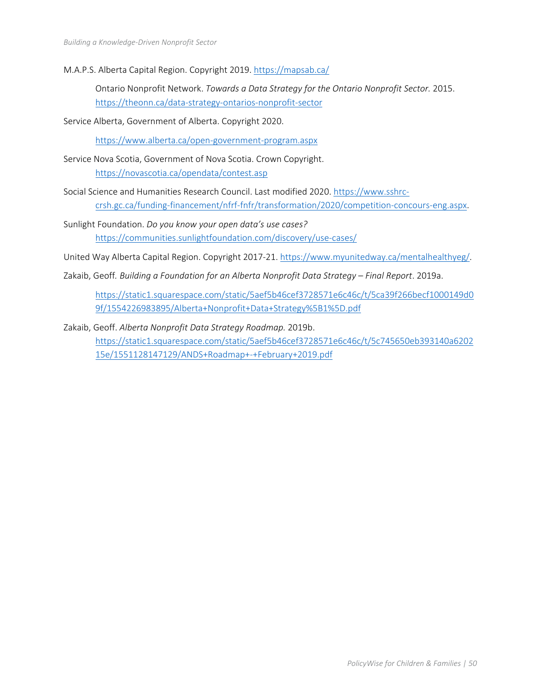M.A.P.S. Alberta Capital Region. Copyright 2019. https://mapsab.ca/

Ontario Nonprofit Network. *Towards a Data Strategy for the Ontario Nonprofit Sector.* 2015. https://theonn.ca/data‐strategy‐ontarios‐nonprofit‐sector

Service Alberta, Government of Alberta. Copyright 2020.

https://www.alberta.ca/open‐government‐program.aspx

- Service Nova Scotia, Government of Nova Scotia. Crown Copyright. https://novascotia.ca/opendata/contest.asp
- Social Science and Humanities Research Council. Last modified 2020. https://www.sshrc‐ crsh.gc.ca/funding-financement/nfrf-fnfr/transformation/2020/competition-concours-eng.aspx.
- Sunlight Foundation. *Do you know your open data's use cases?* https://communities.sunlightfoundation.com/discovery/use-cases/
- United Way Alberta Capital Region. Copyright 2017‐21. https://www.myunitedway.ca/mentalhealthyeg/.
- Zakaib, Geoff*. Building a Foundation for an Alberta Nonprofit Data Strategy Final Report*. 2019a.

https://static1.squarespace.com/static/5aef5b46cef3728571e6c46c/t/5ca39f266becf1000149d0 9f/1554226983895/Alberta+Nonprofit+Data+Strategy%5B1%5D.pdf

Zakaib, Geoff. *Alberta Nonprofit Data Strategy Roadmap.* 2019b. https://static1.squarespace.com/static/5aef5b46cef3728571e6c46c/t/5c745650eb393140a6202 15e/1551128147129/ANDS+Roadmap+‐+February+2019.pdf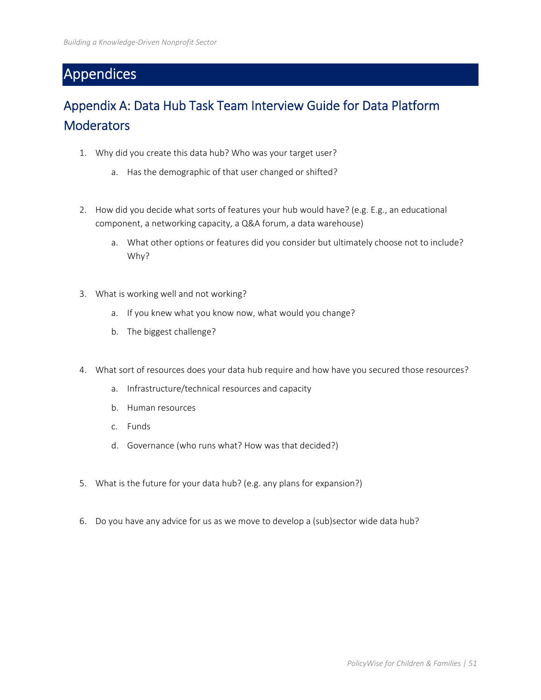## Appendices

## Appendix A: Data Hub Task Team Interview Guide for Data Platform **Moderators**

- 1. Why did you create this data hub? Who was your target user?
	- a. Has the demographic of that user changed or shifted?
- 2. How did you decide what sorts of features your hub would have? (e.g. E.g., an educational component, a networking capacity, a Q&A forum, a data warehouse)
	- a. What other options or features did you consider but ultimately choose not to include? Why?
- 3. What is working well and not working?
	- a. If you knew what you know now, what would you change?
	- b. The biggest challenge?
- 4. What sort of resources does your data hub require and how have you secured those resources?
	- a. Infrastructure/technical resources and capacity
	- b. Human resources
	- c. Funds
	- d. Governance (who runs what? How was that decided?)
- 5. What is the future for your data hub? (e.g. any plans for expansion?)
- 6. Do you have any advice for us as we move to develop a (sub)sector wide data hub?